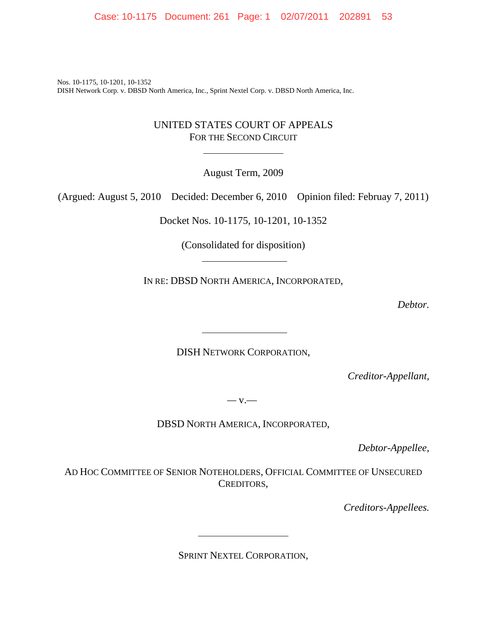Case: 10-1175 Document: 261 Page: 1 02/07/2011 202891 53

Nos. 10-1175, 10-1201, 10-1352 DISH Network Corp. v. DBSD North America, Inc., Sprint Nextel Corp. v. DBSD North America, Inc.

 $\overline{a}$ 

#### UNITED STATES COURT OF APPEALS FOR THE SECOND CIRCUIT

August Term, 2009

(Argued: August 5, 2010 Decided: December 6, 2010 Opinion filed: Februay 7, 2011)

Docket Nos. 10-1175, 10-1201, 10-1352

(Consolidated for disposition)

IN RE: DBSD NORTH AMERICA, INCORPORATED,

*Debtor.*

DISH NETWORK CORPORATION,

*Creditor-Appellant,*

*—* v.—

DBSD NORTH AMERICA, INCORPORATED,

*Debtor-Appellee,*

AD HOC COMMITTEE OF SENIOR NOTEHOLDERS, OFFICIAL COMMITTEE OF UNSECURED CREDITORS,

*Creditors-Appellees.*

SPRINT NEXTEL CORPORATION,

 $\overline{a}$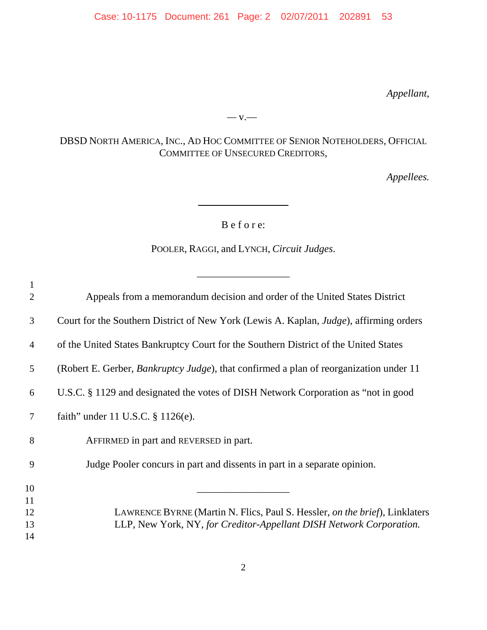Case: 10-1175 Document: 261 Page: 2 02/07/2011 202891 53

*Appellant,*

### DBSD NORTH AMERICA, INC., AD HOC COMMITTEE OF SENIOR NOTEHOLDERS, OFFICIAL COMMITTEE OF UNSECURED CREDITORS,

*—* v.—

*Appellees.*

B e f o r e:

 $\overline{\phantom{a}}$ 

POOLER, RAGGI, and LYNCH, *Circuit Judges*.

\_\_\_\_\_\_\_\_\_\_\_\_\_\_\_\_\_\_

| $\mathbf{1}$<br>$\overline{2}$ | Appeals from a memorandum decision and order of the United States District                                                                         |
|--------------------------------|----------------------------------------------------------------------------------------------------------------------------------------------------|
| 3                              | Court for the Southern District of New York (Lewis A. Kaplan, <i>Judge</i> ), affirming orders                                                     |
| $\overline{4}$                 | of the United States Bankruptcy Court for the Southern District of the United States                                                               |
| 5                              | (Robert E. Gerber, <i>Bankruptcy Judge</i> ), that confirmed a plan of reorganization under 11                                                     |
| 6                              | U.S.C. § 1129 and designated the votes of DISH Network Corporation as "not in good                                                                 |
| 7                              | faith" under 11 U.S.C. § 1126(e).                                                                                                                  |
| 8                              | AFFIRMED in part and REVERSED in part.                                                                                                             |
| 9                              | Judge Pooler concurs in part and dissents in part in a separate opinion.                                                                           |
| 10<br>11                       |                                                                                                                                                    |
| 12<br>13<br>14                 | LAWRENCE BYRNE (Martin N. Flics, Paul S. Hessler, on the brief), Linklaters<br>LLP, New York, NY, for Creditor-Appellant DISH Network Corporation. |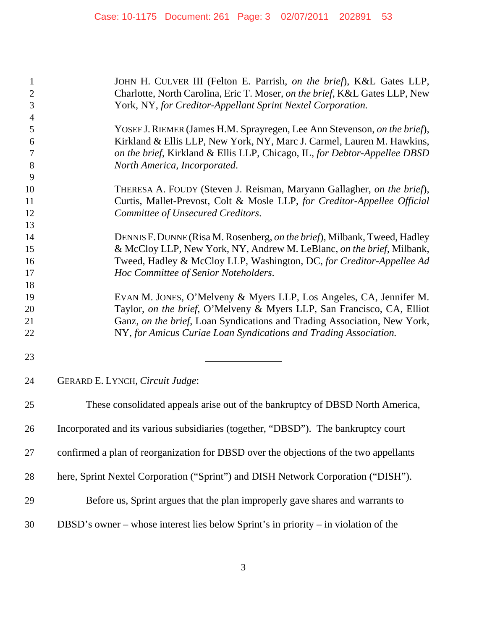| $\mathbf{1}$<br>$\mathbf{2}$<br>3 | JOHN H. CULVER III (Felton E. Parrish, on the brief), K&L Gates LLP,<br>Charlotte, North Carolina, Eric T. Moser, on the brief, K&L Gates LLP, New<br>York, NY, for Creditor-Appellant Sprint Nextel Corporation. |
|-----------------------------------|-------------------------------------------------------------------------------------------------------------------------------------------------------------------------------------------------------------------|
| $\overline{4}$                    |                                                                                                                                                                                                                   |
| 5                                 | YOSEF J. RIEMER (James H.M. Sprayregen, Lee Ann Stevenson, on the brief),                                                                                                                                         |
| 6                                 | Kirkland & Ellis LLP, New York, NY, Marc J. Carmel, Lauren M. Hawkins,                                                                                                                                            |
| 7                                 | on the brief, Kirkland & Ellis LLP, Chicago, IL, for Debtor-Appellee DBSD                                                                                                                                         |
| 8                                 | North America, Incorporated.                                                                                                                                                                                      |
| 9                                 |                                                                                                                                                                                                                   |
| 10                                | THERESA A. FOUDY (Steven J. Reisman, Maryann Gallagher, on the brief),                                                                                                                                            |
| 11<br>12                          | Curtis, Mallet-Prevost, Colt & Mosle LLP, for Creditor-Appellee Official<br>Committee of Unsecured Creditors.                                                                                                     |
| 13                                |                                                                                                                                                                                                                   |
| 14                                | DENNIS F. DUNNE (Risa M. Rosenberg, on the brief), Milbank, Tweed, Hadley                                                                                                                                         |
| 15                                | & McCloy LLP, New York, NY, Andrew M. LeBlanc, on the brief, Milbank,                                                                                                                                             |
| 16                                | Tweed, Hadley & McCloy LLP, Washington, DC, for Creditor-Appellee Ad                                                                                                                                              |
| 17                                | Hoc Committee of Senior Noteholders.                                                                                                                                                                              |
| 18                                |                                                                                                                                                                                                                   |
| 19                                | EVAN M. JONES, O'Melveny & Myers LLP, Los Angeles, CA, Jennifer M.                                                                                                                                                |
| 20                                | Taylor, on the brief, O'Melveny & Myers LLP, San Francisco, CA, Elliot                                                                                                                                            |
| 21                                | Ganz, on the brief, Loan Syndications and Trading Association, New York,                                                                                                                                          |
| 22                                | NY, for Amicus Curiae Loan Syndications and Trading Association.                                                                                                                                                  |
| 23                                |                                                                                                                                                                                                                   |
| 24                                | GERARD E. LYNCH, Circuit Judge:                                                                                                                                                                                   |
| 25                                | These consolidated appeals arise out of the bankruptcy of DBSD North America,                                                                                                                                     |
| 26                                | Incorporated and its various subsidiaries (together, "DBSD"). The bankruptcy court                                                                                                                                |
| 27                                | confirmed a plan of reorganization for DBSD over the objections of the two appellants                                                                                                                             |
| 28                                | here, Sprint Nextel Corporation ("Sprint") and DISH Network Corporation ("DISH").                                                                                                                                 |
| 29                                | Before us, Sprint argues that the plan improperly gave shares and warrants to                                                                                                                                     |
| 30                                | DBSD's owner – whose interest lies below Sprint's in priority – in violation of the                                                                                                                               |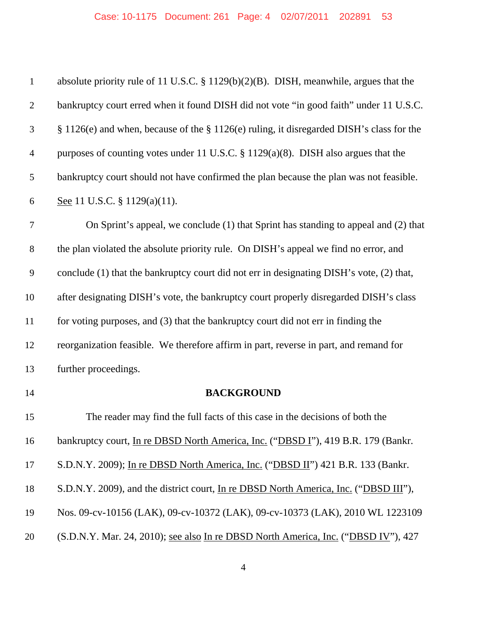| $\mathbf{1}$     | absolute priority rule of 11 U.S.C. $\S 1129(b)(2)(B)$ . DISH, meanwhile, argues that the |
|------------------|-------------------------------------------------------------------------------------------|
| $\overline{2}$   | bankruptcy court erred when it found DISH did not vote "in good faith" under 11 U.S.C.    |
| 3                | § 1126(e) and when, because of the § 1126(e) ruling, it disregarded DISH's class for the  |
| $\overline{4}$   | purposes of counting votes under 11 U.S.C. § 1129(a)(8). DISH also argues that the        |
| 5                | bankruptcy court should not have confirmed the plan because the plan was not feasible.    |
| 6                | See 11 U.S.C. $\S$ 1129(a)(11).                                                           |
| $\boldsymbol{7}$ | On Sprint's appeal, we conclude (1) that Sprint has standing to appeal and (2) that       |
| $8\,$            | the plan violated the absolute priority rule. On DISH's appeal we find no error, and      |
| 9                | conclude (1) that the bankruptcy court did not err in designating DISH's vote, (2) that,  |
| 10               | after designating DISH's vote, the bankruptcy court properly disregarded DISH's class     |
| 11               | for voting purposes, and (3) that the bankruptcy court did not err in finding the         |
| 12               | reorganization feasible. We therefore affirm in part, reverse in part, and remand for     |
| 13               | further proceedings.                                                                      |
| 14               | <b>BACKGROUND</b>                                                                         |
| 15               | The reader may find the full facts of this case in the decisions of both the              |
| 16               | bankruptcy court, In re DBSD North America, Inc. ("DBSD I"), 419 B.R. 179 (Bankr.         |
| 17               | S.D.N.Y. 2009); In re DBSD North America, Inc. ("DBSD II") 421 B.R. 133 (Bankr.           |
| 18               | S.D.N.Y. 2009), and the district court, In re DBSD North America, Inc. ("DBSD III"),      |
| 19               | Nos. 09-cv-10156 (LAK), 09-cv-10372 (LAK), 09-cv-10373 (LAK), 2010 WL 1223109             |
| 20               | (S.D.N.Y. Mar. 24, 2010); see also In re DBSD North America, Inc. ("DBSD IV"), 427        |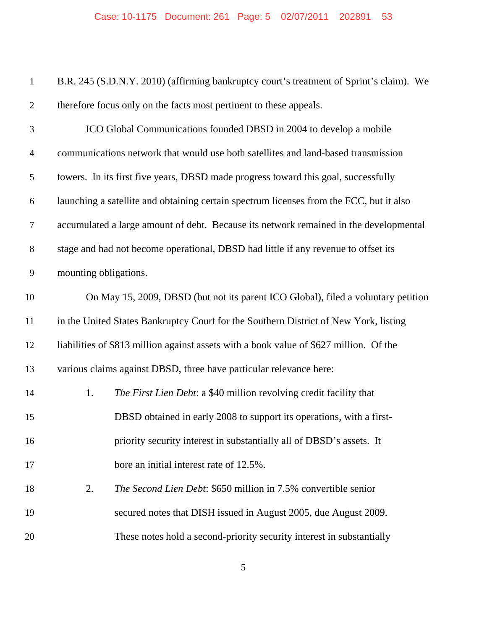| $\,1\,$        | B.R. 245 (S.D.N.Y. 2010) (affirming bankruptcy court's treatment of Sprint's claim). We |
|----------------|-----------------------------------------------------------------------------------------|
| $\overline{2}$ | therefore focus only on the facts most pertinent to these appeals.                      |
| 3              | ICO Global Communications founded DBSD in 2004 to develop a mobile                      |
| $\overline{4}$ | communications network that would use both satellites and land-based transmission       |
| 5              | towers. In its first five years, DBSD made progress toward this goal, successfully      |
| 6              | launching a satellite and obtaining certain spectrum licenses from the FCC, but it also |
| $\tau$         | accumulated a large amount of debt. Because its network remained in the developmental   |
| 8              | stage and had not become operational, DBSD had little if any revenue to offset its      |
| 9              | mounting obligations.                                                                   |
| 10             | On May 15, 2009, DBSD (but not its parent ICO Global), filed a voluntary petition       |
| 11             | in the United States Bankruptcy Court for the Southern District of New York, listing    |
| 12             | liabilities of \$813 million against assets with a book value of \$627 million. Of the  |
| 13             | various claims against DBSD, three have particular relevance here:                      |
| 14             | The First Lien Debt: a \$40 million revolving credit facility that<br>1.                |
| 15             | DBSD obtained in early 2008 to support its operations, with a first-                    |
| 16             | priority security interest in substantially all of DBSD's assets. It                    |
| 17             | bore an initial interest rate of 12.5%.                                                 |
| 18             | 2.<br><i>The Second Lien Debt:</i> \$650 million in 7.5% convertible senior             |
| 19             | secured notes that DISH issued in August 2005, due August 2009.                         |
| 20             | These notes hold a second-priority security interest in substantially                   |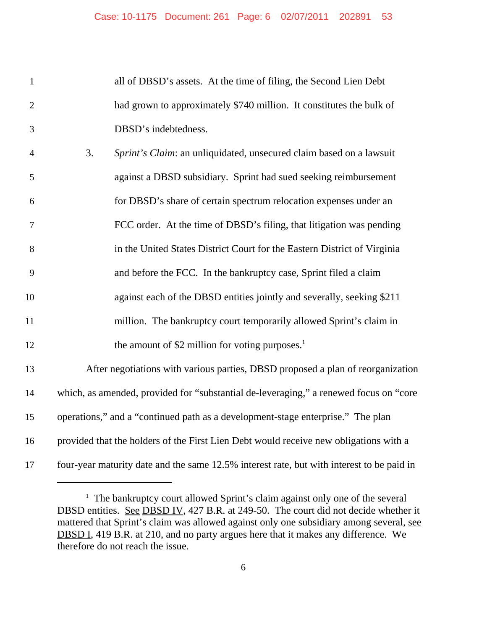all of DBSD's assets. At the time of filing, the Second Lien Debt 2 had grown to approximately \$740 million. It constitutes the bulk of DBSD's indebtedness.

| $\overline{4}$ | 3. | Sprint's Claim: an unliquidated, unsecured claim based on a lawsuit             |
|----------------|----|---------------------------------------------------------------------------------|
| 5              |    | against a DBSD subsidiary. Sprint had sued seeking reimbursement                |
| 6              |    | for DBSD's share of certain spectrum relocation expenses under an               |
| $\overline{7}$ |    | FCC order. At the time of DBSD's filing, that litigation was pending            |
| 8              |    | in the United States District Court for the Eastern District of Virginia        |
| 9              |    | and before the FCC. In the bankruptcy case, Sprint filed a claim                |
| 10             |    | against each of the DBSD entities jointly and severally, seeking \$211          |
| 11             |    | million. The bankruptcy court temporarily allowed Sprint's claim in             |
| 12             |    | the amount of \$2 million for voting purposes. $1$                              |
| 13             |    | After negotiations with various parties, DBSD proposed a plan of reorganization |
|                |    |                                                                                 |

 which, as amended, provided for "substantial de-leveraging," a renewed focus on "core operations," and a "continued path as a development-stage enterprise." The plan

provided that the holders of the First Lien Debt would receive new obligations with a

four-year maturity date and the same 12.5% interest rate, but with interest to be paid in

<sup>&</sup>lt;sup>1</sup> The bankruptcy court allowed Sprint's claim against only one of the several DBSD entities. See DBSD IV, 427 B.R. at 249-50. The court did not decide whether it mattered that Sprint's claim was allowed against only one subsidiary among several, see DBSD I, 419 B.R. at 210, and no party argues here that it makes any difference. We therefore do not reach the issue.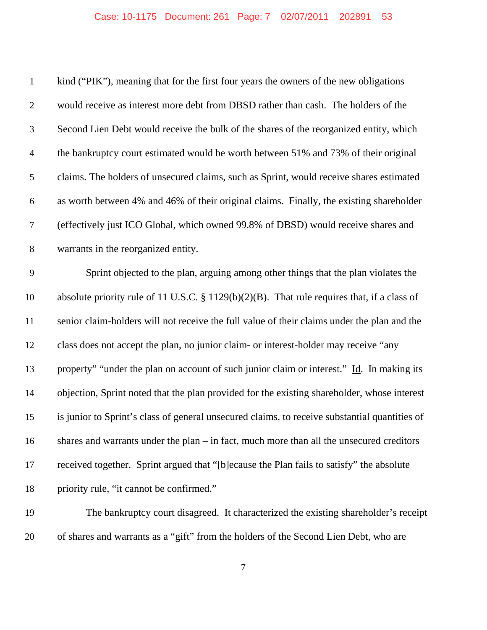| $\mathbf{1}$   | kind ("PIK"), meaning that for the first four years the owners of the new obligations           |
|----------------|-------------------------------------------------------------------------------------------------|
| $\mathfrak{2}$ | would receive as interest more debt from DBSD rather than cash. The holders of the              |
| $\mathfrak{Z}$ | Second Lien Debt would receive the bulk of the shares of the reorganized entity, which          |
| $\overline{4}$ | the bankruptcy court estimated would be worth between 51% and 73% of their original             |
| 5              | claims. The holders of unsecured claims, such as Sprint, would receive shares estimated         |
| 6              | as worth between 4% and 46% of their original claims. Finally, the existing shareholder         |
| $\overline{7}$ | (effectively just ICO Global, which owned 99.8% of DBSD) would receive shares and               |
| $8\,$          | warrants in the reorganized entity.                                                             |
| 9              | Sprint objected to the plan, arguing among other things that the plan violates the              |
| 10             | absolute priority rule of 11 U.S.C. $\S 1129(b)(2)(B)$ . That rule requires that, if a class of |
| 11             | senior claim-holders will not receive the full value of their claims under the plan and the     |
| 12             | class does not accept the plan, no junior claim- or interest-holder may receive "any            |
| 13             | property" "under the plan on account of such junior claim or interest." Id. In making its       |
| 14             | objection, Sprint noted that the plan provided for the existing shareholder, whose interest     |
| 15             | is junior to Sprint's class of general unsecured claims, to receive substantial quantities of   |
| 16             | shares and warrants under the plan $-$ in fact, much more than all the unsecured creditors      |
| 17             | received together. Sprint argued that "[b]ecause the Plan fails to satisfy" the absolute        |
| 18             | priority rule, "it cannot be confirmed."                                                        |
| 19             | The bankruptcy court disagreed. It characterized the existing shareholder's receipt             |
|                |                                                                                                 |

of shares and warrants as a "gift" from the holders of the Second Lien Debt, who are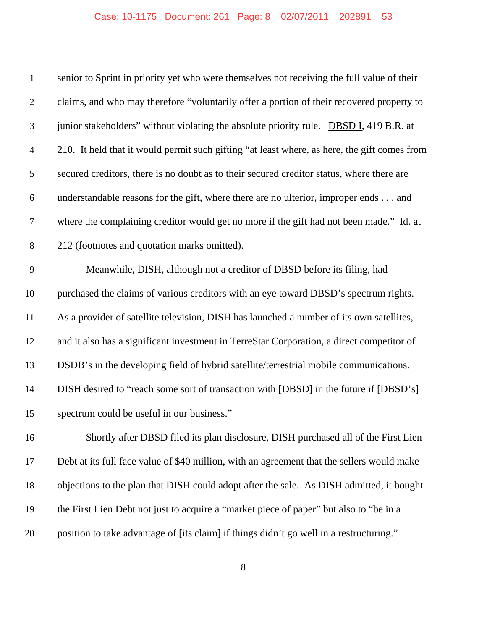## Case: 10-1175 Document: 261 Page: 8 02/07/2011 202891 53

| $\mathbf{1}$   | senior to Sprint in priority yet who were themselves not receiving the full value of their   |
|----------------|----------------------------------------------------------------------------------------------|
| $\mathfrak{2}$ | claims, and who may therefore "voluntarily offer a portion of their recovered property to    |
| 3              | junior stakeholders" without violating the absolute priority rule. DBSD I, 419 B.R. at       |
| $\overline{4}$ | 210. It held that it would permit such gifting "at least where, as here, the gift comes from |
| 5              | secured creditors, there is no doubt as to their secured creditor status, where there are    |
| 6              | understandable reasons for the gift, where there are no ulterior, improper ends and          |
| 7              | where the complaining creditor would get no more if the gift had not been made." Id. at      |
| 8              | 212 (footnotes and quotation marks omitted).                                                 |
| 9              | Meanwhile, DISH, although not a creditor of DBSD before its filing, had                      |
| 10             | purchased the claims of various creditors with an eye toward DBSD's spectrum rights.         |
| 11             | As a provider of satellite television, DISH has launched a number of its own satellites,     |
| 12             | and it also has a significant investment in TerreStar Corporation, a direct competitor of    |
| 13             | DSDB's in the developing field of hybrid satellite/terrestrial mobile communications.        |
| 14             | DISH desired to "reach some sort of transaction with [DBSD] in the future if [DBSD's]        |
| 15             | spectrum could be useful in our business."                                                   |
| 16             | Shortly after DBSD filed its plan disclosure, DISH purchased all of the First Lien           |
| 17             | Debt at its full face value of \$40 million, with an agreement that the sellers would make   |
| 18             | objections to the plan that DISH could adopt after the sale. As DISH admitted, it bought     |
| 19             | the First Lien Debt not just to acquire a "market piece of paper" but also to "be in a       |
| 20             | position to take advantage of [its claim] if things didn't go well in a restructuring."      |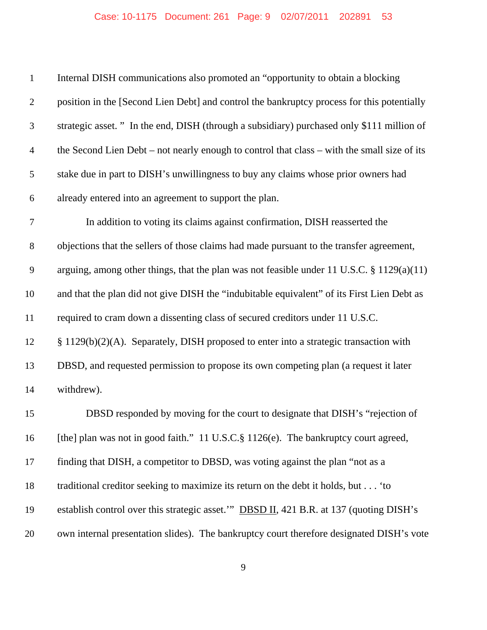## Case: 10-1175 Document: 261 Page: 9 02/07/2011 202891 53

| $\mathbf{1}$   | Internal DISH communications also promoted an "opportunity to obtain a blocking                |
|----------------|------------------------------------------------------------------------------------------------|
| $\overline{2}$ | position in the [Second Lien Debt] and control the bankruptcy process for this potentially     |
| 3              | strategic asset." In the end, DISH (through a subsidiary) purchased only \$111 million of      |
| $\overline{4}$ | the Second Lien Debt – not nearly enough to control that class – with the small size of its    |
| 5              | stake due in part to DISH's unwillingness to buy any claims whose prior owners had             |
| 6              | already entered into an agreement to support the plan.                                         |
| $\tau$         | In addition to voting its claims against confirmation, DISH reasserted the                     |
| $8\,$          | objections that the sellers of those claims had made pursuant to the transfer agreement,       |
| $\mathbf{9}$   | arguing, among other things, that the plan was not feasible under 11 U.S.C. $\S 1129(a)(11)$   |
| 10             | and that the plan did not give DISH the "indubitable equivalent" of its First Lien Debt as     |
| 11             | required to cram down a dissenting class of secured creditors under 11 U.S.C.                  |
| 12             | § 1129(b)(2)(A). Separately, DISH proposed to enter into a strategic transaction with          |
| 13             | DBSD, and requested permission to propose its own competing plan (a request it later           |
| 14             | withdrew).                                                                                     |
| 15             | DBSD responded by moving for the court to designate that DISH's "rejection of                  |
| 16             | [the] plan was not in good faith." 11 U.S.C.§ 1126(e). The bankruptcy court agreed,            |
| 17             | finding that DISH, a competitor to DBSD, was voting against the plan "not as a                 |
| 18             | traditional creditor seeking to maximize its return on the debt it holds, but 'to              |
| 19             | establish control over this strategic asset." <b>DBSD II</b> , 421 B.R. at 137 (quoting DISH's |
| 20             | own internal presentation slides). The bankruptcy court therefore designated DISH's vote       |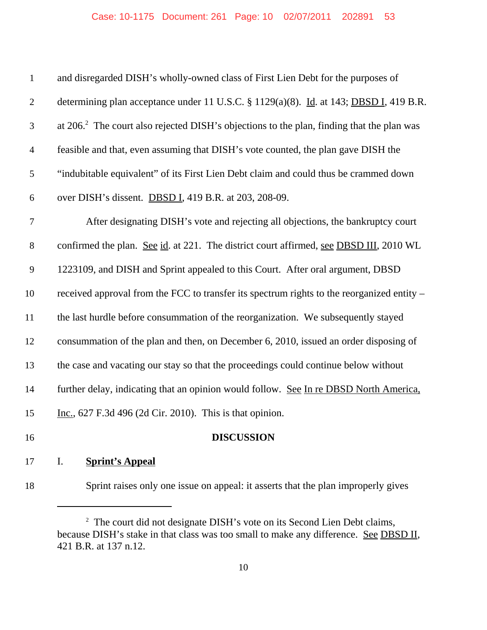| $\mathbf{1}$   | and disregarded DISH's wholly-owned class of First Lien Debt for the purposes of                      |
|----------------|-------------------------------------------------------------------------------------------------------|
| $\overline{2}$ | determining plan acceptance under 11 U.S.C. § 1129(a)(8). Id. at 143; DBSD I, 419 B.R.                |
| 3              | at 206. <sup>2</sup> The court also rejected DISH's objections to the plan, finding that the plan was |
| $\overline{4}$ | feasible and that, even assuming that DISH's vote counted, the plan gave DISH the                     |
| 5              | "indubitable equivalent" of its First Lien Debt claim and could thus be crammed down                  |
| 6              | over DISH's dissent. DBSD I, 419 B.R. at 203, 208-09.                                                 |
| $\tau$         | After designating DISH's vote and rejecting all objections, the bankruptcy court                      |
| 8              | confirmed the plan. See id. at 221. The district court affirmed, see DBSD III, 2010 WL                |
| 9              | 1223109, and DISH and Sprint appealed to this Court. After oral argument, DBSD                        |
| 10             | received approval from the FCC to transfer its spectrum rights to the reorganized entity –            |
| 11             | the last hurdle before consummation of the reorganization. We subsequently stayed                     |
| 12             | consummation of the plan and then, on December 6, 2010, issued an order disposing of                  |
| 13             | the case and vacating our stay so that the proceedings could continue below without                   |
| 14             | further delay, indicating that an opinion would follow. See In re DBSD North America,                 |
| 15             | Inc., 627 F.3d 496 (2d Cir. 2010). This is that opinion.                                              |
| 16             | <b>DISCUSSION</b>                                                                                     |
| 17             | I.<br><b>Sprint's Appeal</b>                                                                          |

<sup>18</sup> Sprint raises only one issue on appeal: it asserts that the plan improperly gives

<sup>&</sup>lt;sup>2</sup> The court did not designate DISH's vote on its Second Lien Debt claims, because DISH's stake in that class was too small to make any difference. See DBSD II, 421 B.R. at 137 n.12.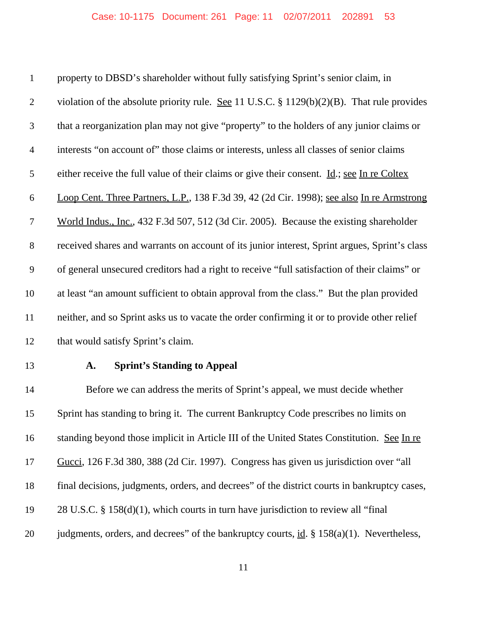property to DBSD's shareholder without fully satisfying Sprint's senior claim, in violation of the absolute priority rule. See 11 U.S.C. § 1129(b)(2)(B). That rule provides that a reorganization plan may not give "property" to the holders of any junior claims or interests "on account of" those claims or interests, unless all classes of senior claims either receive the full value of their claims or give their consent. Id.; see In re Coltex Loop Cent. Three Partners, L.P., 138 F.3d 39, 42 (2d Cir. 1998); see also In re Armstrong World Indus., Inc., 432 F.3d 507, 512 (3d Cir. 2005). Because the existing shareholder received shares and warrants on account of its junior interest, Sprint argues, Sprint's class of general unsecured creditors had a right to receive "full satisfaction of their claims" or at least "an amount sufficient to obtain approval from the class." But the plan provided neither, and so Sprint asks us to vacate the order confirming it or to provide other relief 12 that would satisfy Sprint's claim.

#### **A. Sprint's Standing to Appeal**

 Before we can address the merits of Sprint's appeal, we must decide whether Sprint has standing to bring it. The current Bankruptcy Code prescribes no limits on standing beyond those implicit in Article III of the United States Constitution. See In re Gucci, 126 F.3d 380, 388 (2d Cir. 1997). Congress has given us jurisdiction over "all final decisions, judgments, orders, and decrees" of the district courts in bankruptcy cases, 28 U.S.C. § 158(d)(1), which courts in turn have jurisdiction to review all "final 20 judgments, orders, and decrees" of the bankruptcy courts, id. § 158(a)(1). Nevertheless,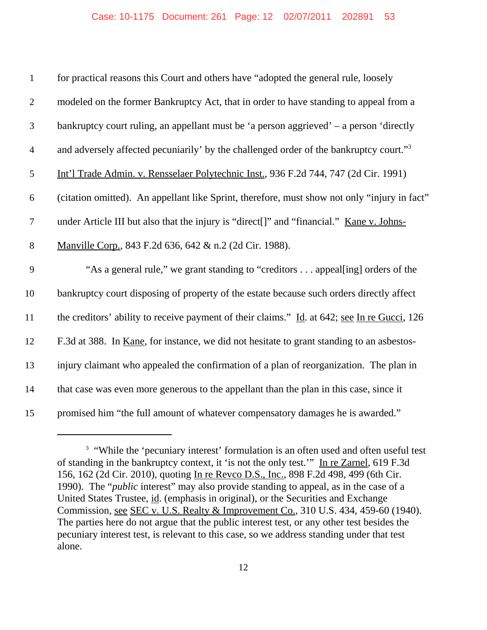| $\mathbf{1}$   | for practical reasons this Court and others have "adopted the general rule, loosely                |
|----------------|----------------------------------------------------------------------------------------------------|
| $\mathfrak{2}$ | modeled on the former Bankruptcy Act, that in order to have standing to appeal from a              |
| $\mathfrak{Z}$ | bankruptcy court ruling, an appellant must be 'a person aggrieved' – a person 'directly            |
| $\overline{4}$ | and adversely affected pecuniarily' by the challenged order of the bankruptcy court." <sup>3</sup> |
| 5              | Int'l Trade Admin. v. Rensselaer Polytechnic Inst., 936 F.2d 744, 747 (2d Cir. 1991)               |
| 6              | (citation omitted). An appellant like Sprint, therefore, must show not only "injury in fact"       |
| $\tau$         | under Article III but also that the injury is "direct[]" and "financial." Kane v. Johns-           |
| $8\,$          | Manville Corp., 843 F.2d 636, 642 & n.2 (2d Cir. 1988).                                            |
| 9              | "As a general rule," we grant standing to "creditors appeal[ing] orders of the                     |
| 10             | bankruptcy court disposing of property of the estate because such orders directly affect           |
| 11             | the creditors' ability to receive payment of their claims." Id. at 642; see In re Gucci, 126       |
| 12             | F.3d at 388. In <u>Kane</u> , for instance, we did not hesitate to grant standing to an asbestos-  |
| 13             | injury claimant who appealed the confirmation of a plan of reorganization. The plan in             |
| 14             | that case was even more generous to the appellant than the plan in this case, since it             |
| 15             | promised him "the full amount of whatever compensatory damages he is awarded."                     |

<sup>&</sup>lt;sup>3</sup> "While the 'pecuniary interest' formulation is an often used and often useful test of standing in the bankruptcy context, it 'is not the only test.'" In re Zarnel, 619 F.3d 156, 162 (2d Cir. 2010), quoting In re Revco D.S., Inc., 898 F.2d 498, 499 (6th Cir. 1990). The "*public* interest" may also provide standing to appeal, as in the case of a United States Trustee, id. (emphasis in original), or the Securities and Exchange Commission, see SEC v. U.S. Realty & Improvement Co., 310 U.S. 434, 459-60 (1940). The parties here do not argue that the public interest test, or any other test besides the pecuniary interest test, is relevant to this case, so we address standing under that test alone.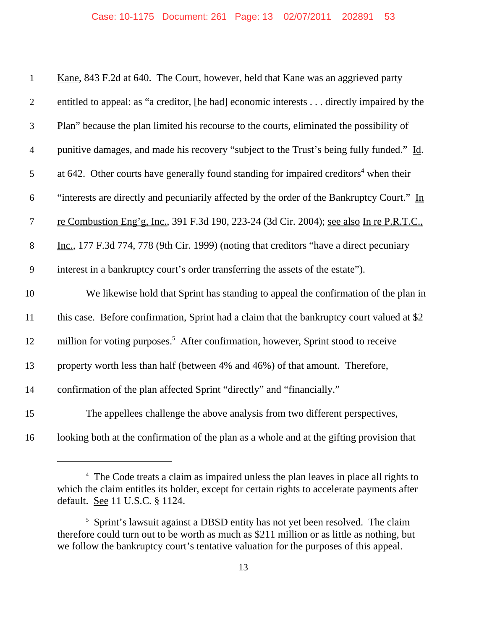| $\mathbf{1}$   | Kane, 843 F.2d at 640. The Court, however, held that Kane was an aggrieved party                  |
|----------------|---------------------------------------------------------------------------------------------------|
| $\overline{2}$ | entitled to appeal: as "a creditor, [he had] economic interests directly impaired by the          |
| 3              | Plan" because the plan limited his recourse to the courts, eliminated the possibility of          |
| $\overline{4}$ | punitive damages, and made his recovery "subject to the Trust's being fully funded." Id.          |
| 5              | at 642. Other courts have generally found standing for impaired creditors <sup>4</sup> when their |
| 6              | "interests are directly and pecuniarily affected by the order of the Bankruptcy Court." In        |
| $\tau$         | re Combustion Eng'g, Inc., 391 F.3d 190, 223-24 (3d Cir. 2004); see also In re P.R.T.C.,          |
| $8\,$          | Inc., 177 F.3d 774, 778 (9th Cir. 1999) (noting that creditors "have a direct pecuniary           |
| 9              | interest in a bankruptcy court's order transferring the assets of the estate").                   |
| 10             | We likewise hold that Sprint has standing to appeal the confirmation of the plan in               |
| 11             | this case. Before confirmation, Sprint had a claim that the bankruptcy court valued at \$2        |
| 12             | million for voting purposes. <sup>5</sup> After confirmation, however, Sprint stood to receive    |
| 13             | property worth less than half (between 4% and 46%) of that amount. Therefore,                     |
| 14             | confirmation of the plan affected Sprint "directly" and "financially."                            |
| 15             | The appellees challenge the above analysis from two different perspectives,                       |
| 16             | looking both at the confirmation of the plan as a whole and at the gifting provision that         |

<sup>&</sup>lt;sup>4</sup> The Code treats a claim as impaired unless the plan leaves in place all rights to which the claim entitles its holder, except for certain rights to accelerate payments after default. See 11 U.S.C. § 1124.

<sup>&</sup>lt;sup>5</sup> Sprint's lawsuit against a DBSD entity has not yet been resolved. The claim therefore could turn out to be worth as much as \$211 million or as little as nothing, but we follow the bankruptcy court's tentative valuation for the purposes of this appeal.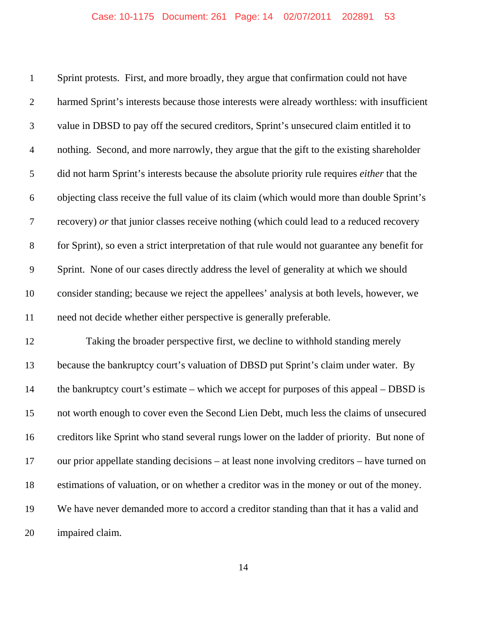Sprint protests. First, and more broadly, they argue that confirmation could not have harmed Sprint's interests because those interests were already worthless: with insufficient value in DBSD to pay off the secured creditors, Sprint's unsecured claim entitled it to nothing. Second, and more narrowly, they argue that the gift to the existing shareholder did not harm Sprint's interests because the absolute priority rule requires *either* that the objecting class receive the full value of its claim (which would more than double Sprint's recovery) *or* that junior classes receive nothing (which could lead to a reduced recovery for Sprint), so even a strict interpretation of that rule would not guarantee any benefit for Sprint. None of our cases directly address the level of generality at which we should consider standing; because we reject the appellees' analysis at both levels, however, we need not decide whether either perspective is generally preferable. Taking the broader perspective first, we decline to withhold standing merely because the bankruptcy court's valuation of DBSD put Sprint's claim under water. By 14 the bankruptcy court's estimate – which we accept for purposes of this appeal – DBSD is

 not worth enough to cover even the Second Lien Debt, much less the claims of unsecured creditors like Sprint who stand several rungs lower on the ladder of priority. But none of our prior appellate standing decisions – at least none involving creditors – have turned on estimations of valuation, or on whether a creditor was in the money or out of the money. We have never demanded more to accord a creditor standing than that it has a valid and impaired claim.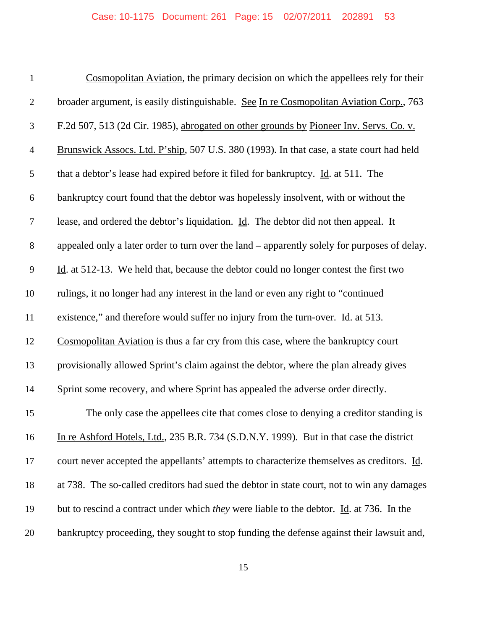## Case: 10-1175 Document: 261 Page: 15 02/07/2011 202891 53

| $\mathbf{1}$   | Cosmopolitan Aviation, the primary decision on which the appellees rely for their               |
|----------------|-------------------------------------------------------------------------------------------------|
| $\overline{2}$ | broader argument, is easily distinguishable. See In re Cosmopolitan Aviation Corp., 763         |
| 3              | F.2d 507, 513 (2d Cir. 1985), abrogated on other grounds by Pioneer Inv. Servs. Co. v.          |
| $\overline{4}$ | Brunswick Assocs. Ltd. P'ship, 507 U.S. 380 (1993). In that case, a state court had held        |
| 5              | that a debtor's lease had expired before it filed for bankruptcy. Id. at 511. The               |
| 6              | bankruptcy court found that the debtor was hopelessly insolvent, with or without the            |
| $\tau$         | lease, and ordered the debtor's liquidation. Id. The debtor did not then appeal. It             |
| $8\,$          | appealed only a later order to turn over the land – apparently solely for purposes of delay.    |
| 9              | Id. at 512-13. We held that, because the debtor could no longer contest the first two           |
| 10             | rulings, it no longer had any interest in the land or even any right to "continued              |
| 11             | existence," and therefore would suffer no injury from the turn-over. Id. at 513.                |
| 12             | Cosmopolitan Aviation is thus a far cry from this case, where the bankruptcy court              |
| 13             | provisionally allowed Sprint's claim against the debtor, where the plan already gives           |
| 14             | Sprint some recovery, and where Sprint has appealed the adverse order directly.                 |
| 15             | The only case the appellees cite that comes close to denying a creditor standing is             |
| 16             | In re Ashford Hotels, Ltd., 235 B.R. 734 (S.D.N.Y. 1999). But in that case the district         |
| 17             | court never accepted the appellants' attempts to characterize themselves as creditors. Id.      |
| 18             | at 738. The so-called creditors had sued the debtor in state court, not to win any damages      |
| 19             | but to rescind a contract under which <i>they</i> were liable to the debtor. Id. at 736. In the |
| 20             | bankruptcy proceeding, they sought to stop funding the defense against their lawsuit and,       |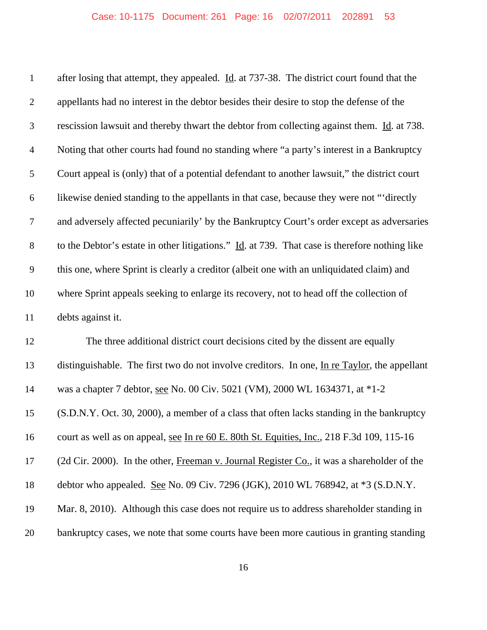| $\mathbf{1}$   | after losing that attempt, they appealed. $\underline{Id}$ . at 737-38. The district court found that the    |
|----------------|--------------------------------------------------------------------------------------------------------------|
| $\overline{2}$ | appellants had no interest in the debtor besides their desire to stop the defense of the                     |
| 3              | rescission lawsuit and thereby thwart the debtor from collecting against them. Id. at 738.                   |
| $\overline{4}$ | Noting that other courts had found no standing where "a party's interest in a Bankruptcy                     |
| 5              | Court appeal is (only) that of a potential defendant to another lawsuit," the district court                 |
| 6              | likewise denied standing to the appellants in that case, because they were not "directly                     |
| 7              | and adversely affected pecuniarily' by the Bankruptcy Court's order except as adversaries                    |
| $8\,$          | to the Debtor's estate in other litigations." $\underline{Id}$ . at 739. That case is therefore nothing like |
| 9              | this one, where Sprint is clearly a creditor (albeit one with an unliquidated claim) and                     |
| 10             | where Sprint appeals seeking to enlarge its recovery, not to head off the collection of                      |
| 11             | debts against it.                                                                                            |
| 12             | The three additional district court decisions cited by the dissent are equally                               |
| 13             | distinguishable. The first two do not involve creditors. In one, In re Taylor, the appellant                 |
| 14             | was a chapter 7 debtor, see No. 00 Civ. 5021 (VM), 2000 WL 1634371, at *1-2                                  |
| 15             | (S.D.N.Y. Oct. 30, 2000), a member of a class that often lacks standing in the bankruptcy                    |
| 16             | court as well as on appeal, see In re 60 E. 80th St. Equities, Inc., 218 F.3d 109, 115-16                    |
| 17             | (2d Cir. 2000). In the other, Freeman v. Journal Register Co., it was a shareholder of the                   |
| 18             | debtor who appealed. See No. 09 Civ. 7296 (JGK), 2010 WL 768942, at *3 (S.D.N.Y.                             |
| 19             | Mar. 8, 2010). Although this case does not require us to address shareholder standing in                     |
| 20             | bankruptcy cases, we note that some courts have been more cautious in granting standing                      |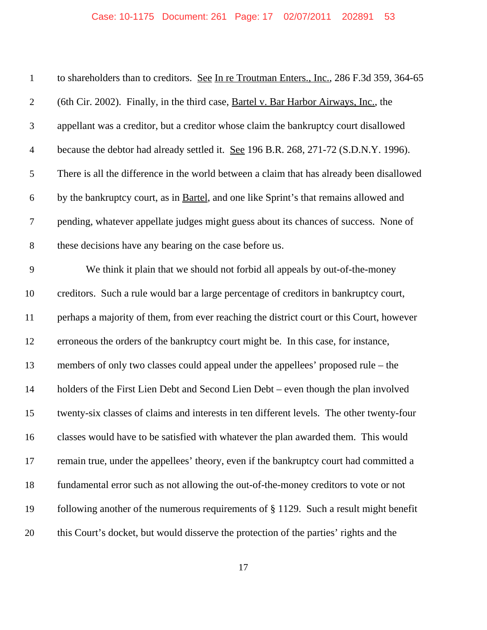| $\mathbf{1}$   | to shareholders than to creditors. See In re Troutman Enters., Inc., 286 F.3d 359, 364-65 |
|----------------|-------------------------------------------------------------------------------------------|
| $\overline{2}$ | (6th Cir. 2002). Finally, in the third case, Bartel v. Bar Harbor Airways, Inc., the      |
| 3              | appellant was a creditor, but a creditor whose claim the bankruptcy court disallowed      |
| $\overline{4}$ | because the debtor had already settled it. See 196 B.R. 268, 271-72 (S.D.N.Y. 1996).      |
| 5              | There is all the difference in the world between a claim that has already been disallowed |
| 6              | by the bankruptcy court, as in Bartel, and one like Sprint's that remains allowed and     |
| 7              | pending, whatever appellate judges might guess about its chances of success. None of      |
| $8\,$          | these decisions have any bearing on the case before us.                                   |
| 9              | We think it plain that we should not forbid all appeals by out-of-the-money               |
| 10             | creditors. Such a rule would bar a large percentage of creditors in bankruptcy court,     |
| 11             | perhaps a majority of them, from ever reaching the district court or this Court, however  |
| 12             | erroneous the orders of the bankruptcy court might be. In this case, for instance,        |
| 13             | members of only two classes could appeal under the appellees' proposed rule – the         |
| 14             | holders of the First Lien Debt and Second Lien Debt – even though the plan involved       |
| 15             | twenty-six classes of claims and interests in ten different levels. The other twenty-four |
| 16             | classes would have to be satisfied with whatever the plan awarded them. This would        |
| 17             | remain true, under the appellees' theory, even if the bankruptcy court had committed a    |
| 18             | fundamental error such as not allowing the out-of-the-money creditors to vote or not      |
| 19             | following another of the numerous requirements of $\S 1129$ . Such a result might benefit |
| 20             | this Court's docket, but would disserve the protection of the parties' rights and the     |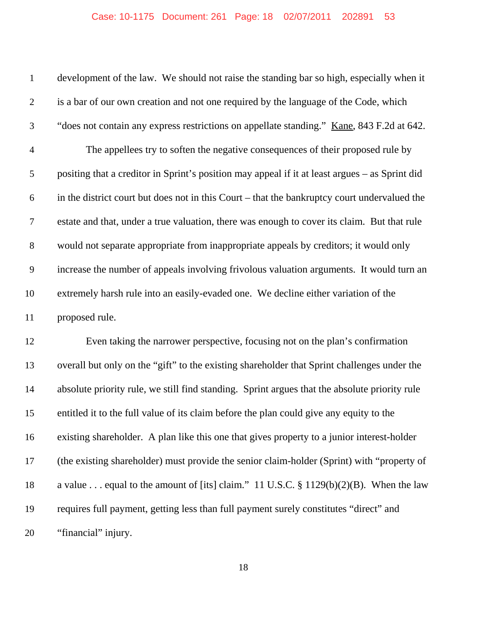# Case: 10-1175 Document: 261 Page: 18 02/07/2011 202891 53

| $\mathbf{1}$     | development of the law. We should not raise the standing bar so high, especially when it       |
|------------------|------------------------------------------------------------------------------------------------|
| $\sqrt{2}$       | is a bar of our own creation and not one required by the language of the Code, which           |
| $\mathfrak{Z}$   | "does not contain any express restrictions on appellate standing." Kane, 843 F.2d at 642.      |
| $\overline{4}$   | The appellees try to soften the negative consequences of their proposed rule by                |
| $\sqrt{5}$       | positing that a creditor in Sprint's position may appeal if it at least argues - as Sprint did |
| $\boldsymbol{6}$ | in the district court but does not in this Court – that the bankruptcy court undervalued the   |
| $\boldsymbol{7}$ | estate and that, under a true valuation, there was enough to cover its claim. But that rule    |
| $8\,$            | would not separate appropriate from inappropriate appeals by creditors; it would only          |
| $\overline{9}$   | increase the number of appeals involving frivolous valuation arguments. It would turn an       |
| 10               | extremely harsh rule into an easily-evaded one. We decline either variation of the             |
| 11               | proposed rule.                                                                                 |
| 12               | Even taking the narrower perspective, focusing not on the plan's confirmation                  |
| 13               | overall but only on the "gift" to the existing shareholder that Sprint challenges under the    |
| 14               | absolute priority rule, we still find standing. Sprint argues that the absolute priority rule  |
| 15               | entitled it to the full value of its claim before the plan could give any equity to the        |
| 16               | existing shareholder. A plan like this one that gives property to a junior interest-holder     |
| 17               | (the existing shareholder) must provide the senior claim-holder (Sprint) with "property of     |
| 18               | a value equal to the amount of [its] claim." 11 U.S.C. $\S 1129(b)(2)(B)$ . When the law       |
| 19               | requires full payment, getting less than full payment surely constitutes "direct" and          |
| 20               | "financial" injury.                                                                            |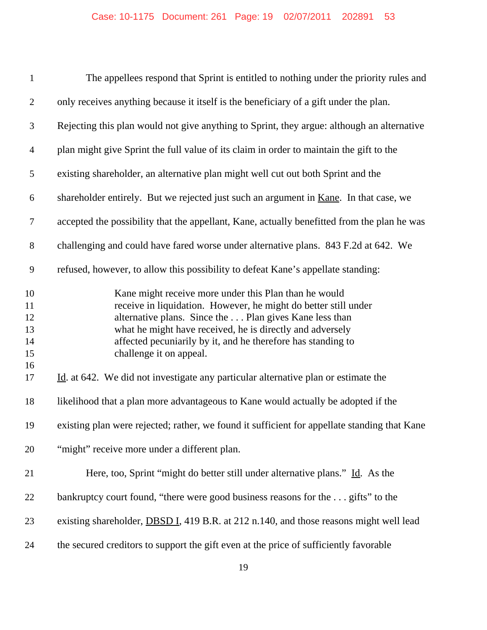| $\mathbf{1}$                           | The appellees respond that Sprint is entitled to nothing under the priority rules and                                                                                                                                                                                                                                                       |
|----------------------------------------|---------------------------------------------------------------------------------------------------------------------------------------------------------------------------------------------------------------------------------------------------------------------------------------------------------------------------------------------|
| $\overline{2}$                         | only receives anything because it itself is the beneficiary of a gift under the plan.                                                                                                                                                                                                                                                       |
| 3                                      | Rejecting this plan would not give anything to Sprint, they argue: although an alternative                                                                                                                                                                                                                                                  |
| $\overline{4}$                         | plan might give Sprint the full value of its claim in order to maintain the gift to the                                                                                                                                                                                                                                                     |
| 5                                      | existing shareholder, an alternative plan might well cut out both Sprint and the                                                                                                                                                                                                                                                            |
| 6                                      | shareholder entirely. But we rejected just such an argument in <u>Kane</u> . In that case, we                                                                                                                                                                                                                                               |
| $\overline{7}$                         | accepted the possibility that the appellant, Kane, actually benefitted from the plan he was                                                                                                                                                                                                                                                 |
| $8\,$                                  | challenging and could have fared worse under alternative plans. 843 F.2d at 642. We                                                                                                                                                                                                                                                         |
| 9                                      | refused, however, to allow this possibility to defeat Kane's appellate standing:                                                                                                                                                                                                                                                            |
| 10<br>11<br>12<br>13<br>14<br>15<br>16 | Kane might receive more under this Plan than he would<br>receive in liquidation. However, he might do better still under<br>alternative plans. Since the  Plan gives Kane less than<br>what he might have received, he is directly and adversely<br>affected pecuniarily by it, and he therefore has standing to<br>challenge it on appeal. |
| 17                                     | Id. at 642. We did not investigate any particular alternative plan or estimate the                                                                                                                                                                                                                                                          |
| 18                                     | likelihood that a plan more advantageous to Kane would actually be adopted if the                                                                                                                                                                                                                                                           |
| 19                                     | existing plan were rejected; rather, we found it sufficient for appellate standing that Kane                                                                                                                                                                                                                                                |
| 20                                     | "might" receive more under a different plan.                                                                                                                                                                                                                                                                                                |
| 21                                     | Here, too, Sprint "might do better still under alternative plans." Id. As the                                                                                                                                                                                                                                                               |
| 22                                     | bankruptcy court found, "there were good business reasons for the gifts" to the                                                                                                                                                                                                                                                             |
| 23                                     | existing shareholder, <b>DBSD I</b> , 419 B.R. at 212 n.140, and those reasons might well lead                                                                                                                                                                                                                                              |
| 24                                     | the secured creditors to support the gift even at the price of sufficiently favorable                                                                                                                                                                                                                                                       |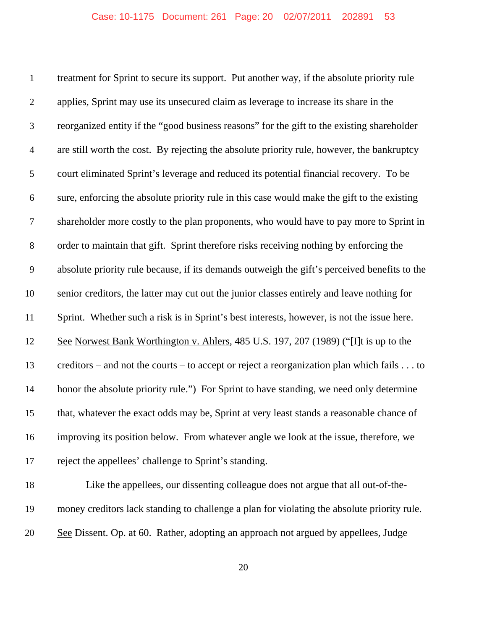treatment for Sprint to secure its support. Put another way, if the absolute priority rule applies, Sprint may use its unsecured claim as leverage to increase its share in the reorganized entity if the "good business reasons" for the gift to the existing shareholder are still worth the cost. By rejecting the absolute priority rule, however, the bankruptcy court eliminated Sprint's leverage and reduced its potential financial recovery. To be sure, enforcing the absolute priority rule in this case would make the gift to the existing shareholder more costly to the plan proponents, who would have to pay more to Sprint in order to maintain that gift. Sprint therefore risks receiving nothing by enforcing the absolute priority rule because, if its demands outweigh the gift's perceived benefits to the senior creditors, the latter may cut out the junior classes entirely and leave nothing for Sprint. Whether such a risk is in Sprint's best interests, however, is not the issue here. See Norwest Bank Worthington v. Ahlers, 485 U.S. 197, 207 (1989) ("[I]t is up to the creditors – and not the courts – to accept or reject a reorganization plan which fails . . . to honor the absolute priority rule.") For Sprint to have standing, we need only determine that, whatever the exact odds may be, Sprint at very least stands a reasonable chance of improving its position below. From whatever angle we look at the issue, therefore, we reject the appellees' challenge to Sprint's standing.

 Like the appellees, our dissenting colleague does not argue that all out-of-the- money creditors lack standing to challenge a plan for violating the absolute priority rule. 20 See Dissent. Op. at 60. Rather, adopting an approach not argued by appellees, Judge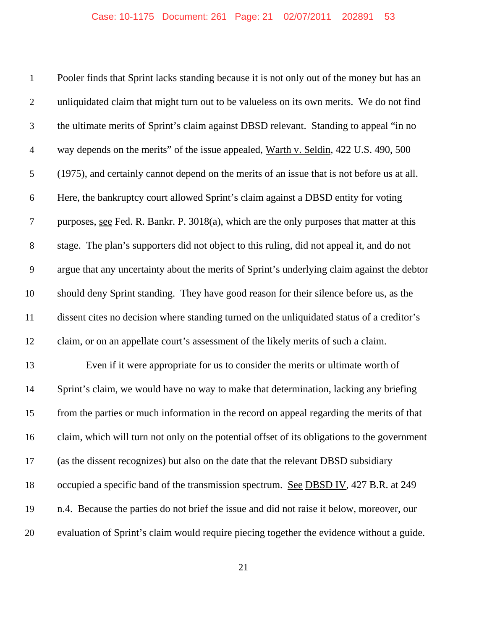Pooler finds that Sprint lacks standing because it is not only out of the money but has an unliquidated claim that might turn out to be valueless on its own merits. We do not find the ultimate merits of Sprint's claim against DBSD relevant. Standing to appeal "in no way depends on the merits" of the issue appealed, Warth v. Seldin, 422 U.S. 490, 500 (1975), and certainly cannot depend on the merits of an issue that is not before us at all. Here, the bankruptcy court allowed Sprint's claim against a DBSD entity for voting purposes, see Fed. R. Bankr. P. 3018(a), which are the only purposes that matter at this stage. The plan's supporters did not object to this ruling, did not appeal it, and do not argue that any uncertainty about the merits of Sprint's underlying claim against the debtor should deny Sprint standing. They have good reason for their silence before us, as the dissent cites no decision where standing turned on the unliquidated status of a creditor's claim, or on an appellate court's assessment of the likely merits of such a claim. Even if it were appropriate for us to consider the merits or ultimate worth of Sprint's claim, we would have no way to make that determination, lacking any briefing from the parties or much information in the record on appeal regarding the merits of that claim, which will turn not only on the potential offset of its obligations to the government (as the dissent recognizes) but also on the date that the relevant DBSD subsidiary 18 occupied a specific band of the transmission spectrum. See DBSD IV, 427 B.R. at 249 n.4. Because the parties do not brief the issue and did not raise it below, moreover, our evaluation of Sprint's claim would require piecing together the evidence without a guide.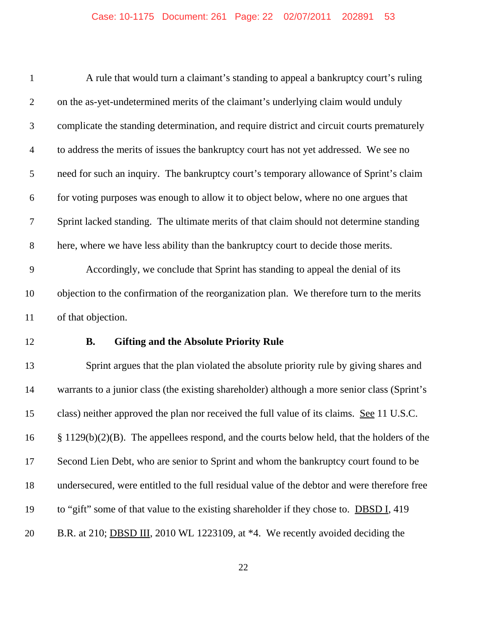| $\mathbf{1}$   | A rule that would turn a claimant's standing to appeal a bankruptcy court's ruling             |
|----------------|------------------------------------------------------------------------------------------------|
| $\overline{2}$ | on the as-yet-undetermined merits of the claimant's underlying claim would unduly              |
| 3              | complicate the standing determination, and require district and circuit courts prematurely     |
| $\overline{4}$ | to address the merits of issues the bankruptcy court has not yet addressed. We see no          |
| 5              | need for such an inquiry. The bankruptcy court's temporary allowance of Sprint's claim         |
| 6              | for voting purposes was enough to allow it to object below, where no one argues that           |
| 7              | Sprint lacked standing. The ultimate merits of that claim should not determine standing        |
| $8\,$          | here, where we have less ability than the bankruptcy court to decide those merits.             |
| 9              | Accordingly, we conclude that Sprint has standing to appeal the denial of its                  |
| 10             | objection to the confirmation of the reorganization plan. We therefore turn to the merits      |
| 11             | of that objection.                                                                             |
| 12             | <b>Gifting and the Absolute Priority Rule</b><br><b>B.</b>                                     |
| 13             | Sprint argues that the plan violated the absolute priority rule by giving shares and           |
| 14             | warrants to a junior class (the existing shareholder) although a more senior class (Sprint's   |
| 15             | class) neither approved the plan nor received the full value of its claims. See 11 U.S.C.      |
| 16             | $\S 1129(b)(2)(B)$ . The appellees respond, and the courts below held, that the holders of the |
| 17             | Second Lien Debt, who are senior to Sprint and whom the bankruptcy court found to be           |
| 18             | undersecured, were entitled to the full residual value of the debtor and were therefore free   |
| 19             | to "gift" some of that value to the existing shareholder if they chose to. <b>DBSD I</b> , 419 |
| 20             | B.R. at 210; <b>DBSD III</b> , 2010 WL 1223109, at *4. We recently avoided deciding the        |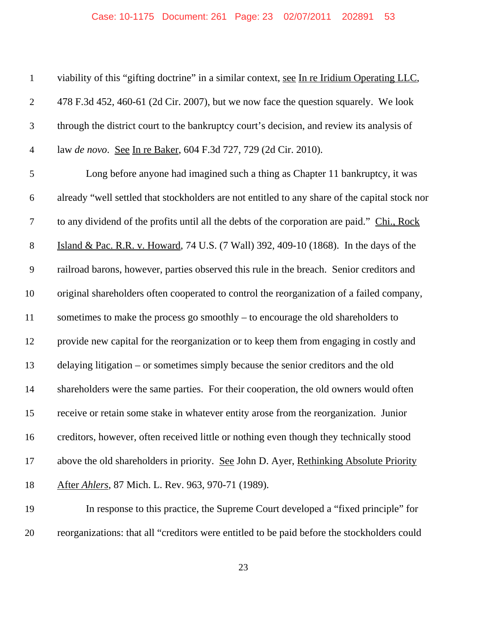| $\mathbf{1}$   | viability of this "gifting doctrine" in a similar context, see In re Iridium Operating LLC,    |
|----------------|------------------------------------------------------------------------------------------------|
| $\overline{2}$ | 478 F.3d 452, 460-61 (2d Cir. 2007), but we now face the question squarely. We look            |
| 3              | through the district court to the bankruptcy court's decision, and review its analysis of      |
| $\overline{4}$ | law de novo. See In re Baker, 604 F.3d 727, 729 (2d Cir. 2010).                                |
| 5              | Long before anyone had imagined such a thing as Chapter 11 bankruptcy, it was                  |
| 6              | already "well settled that stockholders are not entitled to any share of the capital stock nor |
| $\tau$         | to any dividend of the profits until all the debts of the corporation are paid." Chi., Rock    |
| $8\,$          | Island & Pac. R.R. v. Howard, 74 U.S. (7 Wall) 392, 409-10 (1868). In the days of the          |
| $\mathbf{9}$   | railroad barons, however, parties observed this rule in the breach. Senior creditors and       |
| 10             | original shareholders often cooperated to control the reorganization of a failed company,      |
| 11             | sometimes to make the process go smoothly – to encourage the old shareholders to               |
| 12             | provide new capital for the reorganization or to keep them from engaging in costly and         |
| 13             | delaying litigation - or sometimes simply because the senior creditors and the old             |
| 14             | shareholders were the same parties. For their cooperation, the old owners would often          |
| 15             | receive or retain some stake in whatever entity arose from the reorganization. Junior          |
| 16             | creditors, however, often received little or nothing even though they technically stood        |
| 17             | above the old shareholders in priority. See John D. Ayer, Rethinking Absolute Priority         |
| 18             | After Ahlers, 87 Mich. L. Rev. 963, 970-71 (1989).                                             |
| 19             | In response to this practice, the Supreme Court developed a "fixed principle" for              |

reorganizations: that all "creditors were entitled to be paid before the stockholders could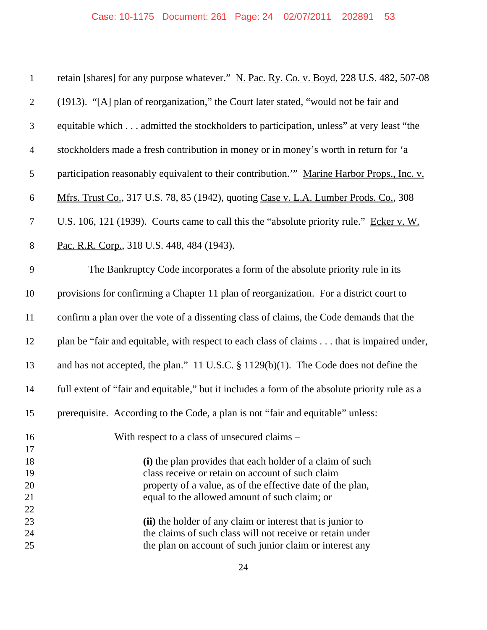| $\mathbf{1}$     | retain [shares] for any purpose whatever." N. Pac. Ry. Co. v. Boyd, 228 U.S. 482, 507-08       |
|------------------|------------------------------------------------------------------------------------------------|
| $\mathbf{2}$     | (1913). "[A] plan of reorganization," the Court later stated, "would not be fair and           |
| $\mathfrak{Z}$   | equitable which admitted the stockholders to participation, unless" at very least "the         |
| $\overline{4}$   | stockholders made a fresh contribution in money or in money's worth in return for 'a           |
| $\mathfrak s$    | participation reasonably equivalent to their contribution." Marine Harbor Props., Inc. v.      |
| 6                | Mfrs. Trust Co., 317 U.S. 78, 85 (1942), quoting Case v. L.A. Lumber Prods. Co., 308           |
| $\boldsymbol{7}$ | U.S. 106, 121 (1939). Courts came to call this the "absolute priority rule." Ecker v. W.       |
| $8\,$            | Pac. R.R. Corp., 318 U.S. 448, 484 (1943).                                                     |
| 9                | The Bankruptcy Code incorporates a form of the absolute priority rule in its                   |
| 10               | provisions for confirming a Chapter 11 plan of reorganization. For a district court to         |
| 11               | confirm a plan over the vote of a dissenting class of claims, the Code demands that the        |
| 12               | plan be "fair and equitable, with respect to each class of claims that is impaired under,      |
| 13               | and has not accepted, the plan." 11 U.S.C. $\S 1129(b)(1)$ . The Code does not define the      |
| 14               | full extent of "fair and equitable," but it includes a form of the absolute priority rule as a |
| 15               | prerequisite. According to the Code, a plan is not "fair and equitable" unless:                |
| 16               | With respect to a class of unsecured claims –                                                  |
| 17               |                                                                                                |
| 18               | (i) the plan provides that each holder of a claim of such                                      |
| 19               | class receive or retain on account of such claim                                               |
| 20               | property of a value, as of the effective date of the plan,                                     |
| 21               | equal to the allowed amount of such claim; or                                                  |
| 22<br>23         | (ii) the holder of any claim or interest that is junior to                                     |
| 24               | the claims of such class will not receive or retain under                                      |
| 25               | the plan on account of such junior claim or interest any                                       |
|                  |                                                                                                |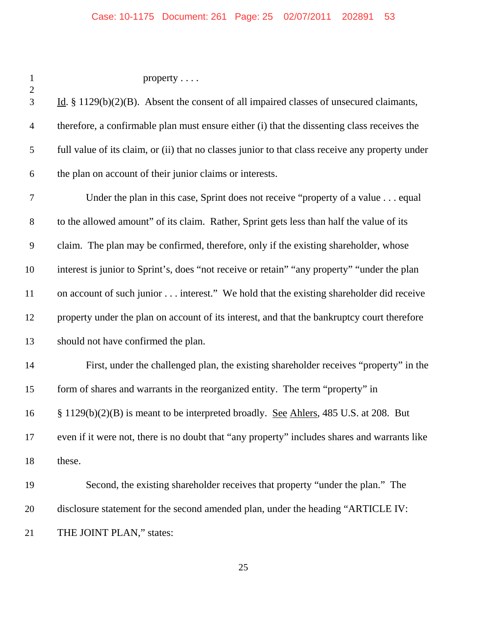| $\mathbf{1}$<br>$\overline{c}$ | property $\ldots$ .                                                                              |
|--------------------------------|--------------------------------------------------------------------------------------------------|
| 3                              | Id. $\S$ 1129(b)(2)(B). Absent the consent of all impaired classes of unsecured claimants,       |
| $\overline{4}$                 | therefore, a confirmable plan must ensure either (i) that the dissenting class receives the      |
| 5                              | full value of its claim, or (ii) that no classes junior to that class receive any property under |
| 6                              | the plan on account of their junior claims or interests.                                         |
| 7                              | Under the plan in this case, Sprint does not receive "property of a value equal                  |
| $8\,$                          | to the allowed amount" of its claim. Rather, Sprint gets less than half the value of its         |
| 9                              | claim. The plan may be confirmed, therefore, only if the existing shareholder, whose             |
| 10                             | interest is junior to Sprint's, does "not receive or retain" "any property" "under the plan      |
| 11                             | on account of such junior interest." We hold that the existing shareholder did receive           |
| 12                             | property under the plan on account of its interest, and that the bankruptcy court therefore      |
| 13                             | should not have confirmed the plan.                                                              |
| 14                             | First, under the challenged plan, the existing shareholder receives "property" in the            |
| 15                             | form of shares and warrants in the reorganized entity. The term "property" in                    |
| 16                             | § 1129(b)(2)(B) is meant to be interpreted broadly. See Ahlers, 485 U.S. at 208. But             |
| 17                             | even if it were not, there is no doubt that "any property" includes shares and warrants like     |
| 18                             | these.                                                                                           |
| 19                             | Second, the existing shareholder receives that property "under the plan." The                    |
| 20                             | disclosure statement for the second amended plan, under the heading "ARTICLE IV:                 |
| 21                             | THE JOINT PLAN," states:                                                                         |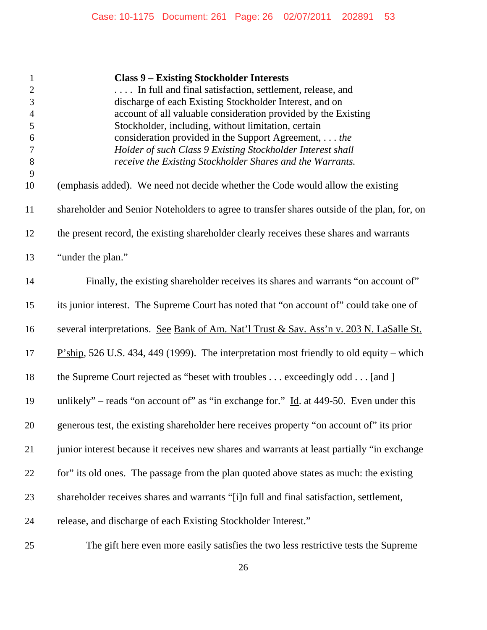| $\mathbf{1}$<br>$\mathbf{2}$<br>3<br>$\overline{4}$<br>5<br>$\boldsymbol{6}$ | <b>Class 9 - Existing Stockholder Interests</b><br>In full and final satisfaction, settlement, release, and<br>discharge of each Existing Stockholder Interest, and on<br>account of all valuable consideration provided by the Existing<br>Stockholder, including, without limitation, certain<br>consideration provided in the Support Agreement, the |
|------------------------------------------------------------------------------|---------------------------------------------------------------------------------------------------------------------------------------------------------------------------------------------------------------------------------------------------------------------------------------------------------------------------------------------------------|
| $\tau$<br>$8\,$<br>9                                                         | Holder of such Class 9 Existing Stockholder Interest shall<br>receive the Existing Stockholder Shares and the Warrants.                                                                                                                                                                                                                                 |
| 10                                                                           | (emphasis added). We need not decide whether the Code would allow the existing                                                                                                                                                                                                                                                                          |
| 11                                                                           | shareholder and Senior Noteholders to agree to transfer shares outside of the plan, for, on                                                                                                                                                                                                                                                             |
| 12                                                                           | the present record, the existing shareholder clearly receives these shares and warrants                                                                                                                                                                                                                                                                 |
| 13                                                                           | "under the plan."                                                                                                                                                                                                                                                                                                                                       |
| 14                                                                           | Finally, the existing shareholder receives its shares and warrants "on account of"                                                                                                                                                                                                                                                                      |
| 15                                                                           | its junior interest. The Supreme Court has noted that "on account of" could take one of                                                                                                                                                                                                                                                                 |
| 16                                                                           | several interpretations. See Bank of Am. Nat'l Trust & Sav. Ass'n v. 203 N. LaSalle St.                                                                                                                                                                                                                                                                 |
| 17                                                                           | $P'ship$ , 526 U.S. 434, 449 (1999). The interpretation most friendly to old equity – which                                                                                                                                                                                                                                                             |
| 18                                                                           | the Supreme Court rejected as "beset with troubles exceedingly odd [and ]                                                                                                                                                                                                                                                                               |
| 19                                                                           | unlikely" – reads "on account of" as "in exchange for." $\underline{Id}$ . at 449-50. Even under this                                                                                                                                                                                                                                                   |
| 20                                                                           | generous test, the existing shareholder here receives property "on account of" its prior                                                                                                                                                                                                                                                                |
| 21                                                                           | junior interest because it receives new shares and warrants at least partially "in exchange                                                                                                                                                                                                                                                             |
| 22                                                                           | for" its old ones. The passage from the plan quoted above states as much: the existing                                                                                                                                                                                                                                                                  |
| 23                                                                           | shareholder receives shares and warrants "[i]n full and final satisfaction, settlement,                                                                                                                                                                                                                                                                 |
| 24                                                                           | release, and discharge of each Existing Stockholder Interest."                                                                                                                                                                                                                                                                                          |
| 25                                                                           | The gift here even more easily satisfies the two less restrictive tests the Supreme                                                                                                                                                                                                                                                                     |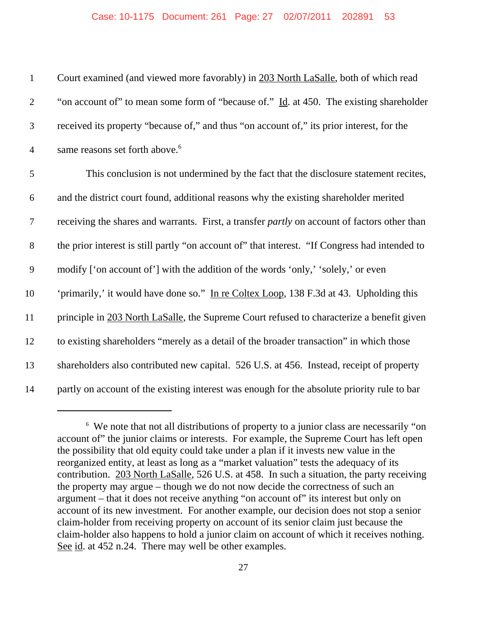| $\mathbf{1}$   | Court examined (and viewed more favorably) in 203 North LaSalle, both of which read                 |
|----------------|-----------------------------------------------------------------------------------------------------|
| $\overline{2}$ | "on account of" to mean some form of "because of." Id. at 450. The existing shareholder             |
| 3              | received its property "because of," and thus "on account of," its prior interest, for the           |
| $\overline{4}$ | same reasons set forth above. <sup>6</sup>                                                          |
| 5              | This conclusion is not undermined by the fact that the disclosure statement recites,                |
| 6              | and the district court found, additional reasons why the existing shareholder merited               |
| $\tau$         | receiving the shares and warrants. First, a transfer <i>partly</i> on account of factors other than |
| $8\,$          | the prior interest is still partly "on account of" that interest. "If Congress had intended to      |
| 9              | modify ['on account of'] with the addition of the words 'only,' 'solely,' or even                   |
| 10             | 'primarily,' it would have done so." In re Coltex Loop, 138 F.3d at 43. Upholding this              |
| 11             | principle in 203 North LaSalle, the Supreme Court refused to characterize a benefit given           |
| 12             | to existing shareholders "merely as a detail of the broader transaction" in which those             |
| 13             | shareholders also contributed new capital. 526 U.S. at 456. Instead, receipt of property            |
| 14             | partly on account of the existing interest was enough for the absolute priority rule to bar         |

<sup>&</sup>lt;sup>6</sup> We note that not all distributions of property to a junior class are necessarily "on account of" the junior claims or interests. For example, the Supreme Court has left open the possibility that old equity could take under a plan if it invests new value in the reorganized entity, at least as long as a "market valuation" tests the adequacy of its contribution. 203 North LaSalle, 526 U.S. at 458. In such a situation, the party receiving the property may argue – though we do not now decide the correctness of such an argument – that it does not receive anything "on account of" its interest but only on account of its new investment. For another example, our decision does not stop a senior claim-holder from receiving property on account of its senior claim just because the claim-holder also happens to hold a junior claim on account of which it receives nothing. See id. at 452 n.24. There may well be other examples.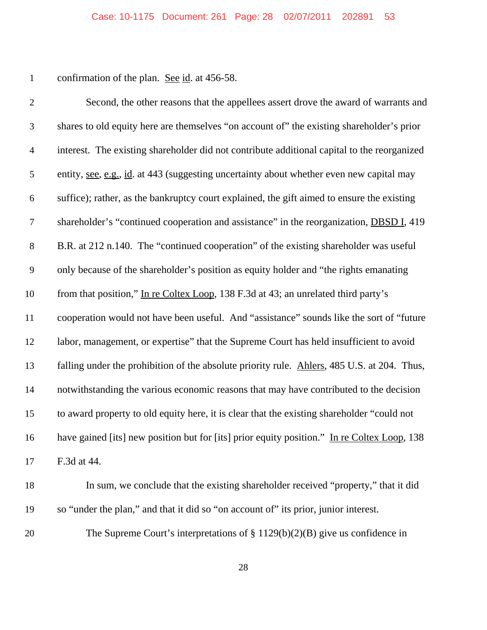1 confirmation of the plan. <u>See id</u>. at 456-58.

| $\overline{2}$   | Second, the other reasons that the appellees assert drove the award of warrants and              |
|------------------|--------------------------------------------------------------------------------------------------|
| 3                | shares to old equity here are themselves "on account of" the existing shareholder's prior        |
| $\overline{4}$   | interest. The existing shareholder did not contribute additional capital to the reorganized      |
| 5                | entity, <u>see, e.g., id</u> . at 443 (suggesting uncertainty about whether even new capital may |
| $\boldsymbol{6}$ | suffice); rather, as the bankruptcy court explained, the gift aimed to ensure the existing       |
| $\tau$           | shareholder's "continued cooperation and assistance" in the reorganization, DBSD I, 419          |
| $8\,$            | B.R. at 212 n.140. The "continued cooperation" of the existing shareholder was useful            |
| 9                | only because of the shareholder's position as equity holder and "the rights emanating            |
| 10               | from that position," In re Coltex Loop, 138 F.3d at 43; an unrelated third party's               |
| 11               | cooperation would not have been useful. And "assistance" sounds like the sort of "future         |
| 12               | labor, management, or expertise" that the Supreme Court has held insufficient to avoid           |
| 13               | falling under the prohibition of the absolute priority rule. Ahlers, 485 U.S. at 204. Thus,      |
| 14               | notwithstanding the various economic reasons that may have contributed to the decision           |
| 15               | to award property to old equity here, it is clear that the existing shareholder "could not       |
| 16               | have gained [its] new position but for [its] prior equity position." In re Coltex Loop, 138      |
| 17               | F.3d at 44.                                                                                      |
|                  |                                                                                                  |

- In sum, we conclude that the existing shareholder received "property," that it did so "under the plan," and that it did so "on account of" its prior, junior interest.
- 20 The Supreme Court's interpretations of § 1129(b)(2)(B) give us confidence in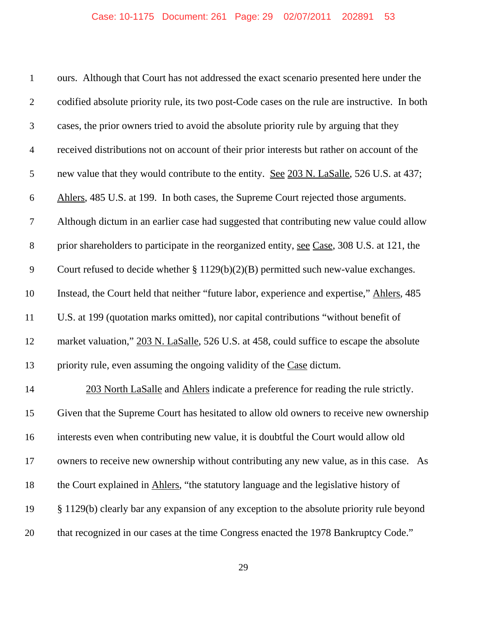| $\mathbf{1}$   | ours. Although that Court has not addressed the exact scenario presented here under the       |
|----------------|-----------------------------------------------------------------------------------------------|
| $\overline{2}$ | codified absolute priority rule, its two post-Code cases on the rule are instructive. In both |
| 3              | cases, the prior owners tried to avoid the absolute priority rule by arguing that they        |
| $\overline{4}$ | received distributions not on account of their prior interests but rather on account of the   |
| 5              | new value that they would contribute to the entity. See 203 N. LaSalle, 526 U.S. at 437;      |
| 6              | Ahlers, 485 U.S. at 199. In both cases, the Supreme Court rejected those arguments.           |
| $\tau$         | Although dictum in an earlier case had suggested that contributing new value could allow      |
| $8\,$          | prior shareholders to participate in the reorganized entity, see Case, 308 U.S. at 121, the   |
| 9              | Court refused to decide whether $\S 1129(b)(2)(B)$ permitted such new-value exchanges.        |
| 10             | Instead, the Court held that neither "future labor, experience and expertise," Ahlers, 485    |
| 11             | U.S. at 199 (quotation marks omitted), nor capital contributions "without benefit of          |
| 12             | market valuation," 203 N. LaSalle, 526 U.S. at 458, could suffice to escape the absolute      |
| 13             | priority rule, even assuming the ongoing validity of the Case dictum.                         |
| 14             | 203 North LaSalle and Ahlers indicate a preference for reading the rule strictly.             |
| 15             | Given that the Supreme Court has hesitated to allow old owners to receive new ownership       |
| 16             | interests even when contributing new value, it is doubtful the Court would allow old          |
| 17             | owners to receive new ownership without contributing any new value, as in this case. As       |
| 18             | the Court explained in Ahlers, "the statutory language and the legislative history of         |
| 19             | § 1129(b) clearly bar any expansion of any exception to the absolute priority rule beyond     |
| 20             | that recognized in our cases at the time Congress enacted the 1978 Bankruptcy Code."          |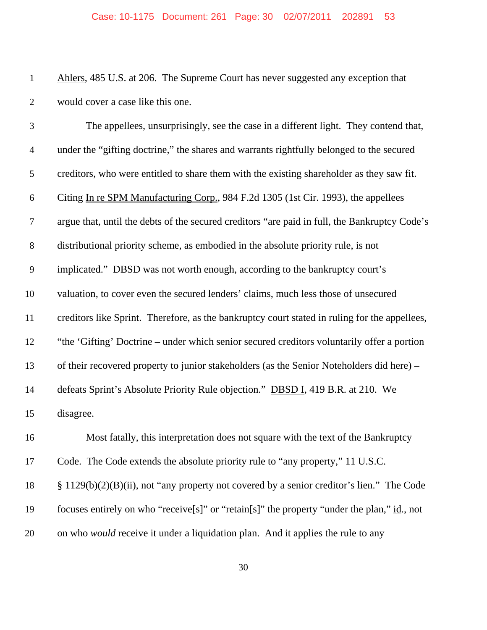| $\mathbf{1}$   | Ahlers, 485 U.S. at 206. The Supreme Court has never suggested any exception that             |
|----------------|-----------------------------------------------------------------------------------------------|
| $\mathbf{2}$   | would cover a case like this one.                                                             |
| $\mathfrak{Z}$ | The appellees, unsurprisingly, see the case in a different light. They contend that,          |
| $\overline{4}$ | under the "gifting doctrine," the shares and warrants rightfully belonged to the secured      |
| 5              | creditors, who were entitled to share them with the existing shareholder as they saw fit.     |
| 6              | Citing In re SPM Manufacturing Corp., 984 F.2d 1305 (1st Cir. 1993), the appellees            |
| $\tau$         | argue that, until the debts of the secured creditors "are paid in full, the Bankruptcy Code's |
| $8\,$          | distributional priority scheme, as embodied in the absolute priority rule, is not             |
| 9              | implicated." DBSD was not worth enough, according to the bankruptcy court's                   |
| 10             | valuation, to cover even the secured lenders' claims, much less those of unsecured            |
| 11             | creditors like Sprint. Therefore, as the bankruptcy court stated in ruling for the appellees, |
| 12             | "the 'Gifting' Doctrine – under which senior secured creditors voluntarily offer a portion    |
| 13             | of their recovered property to junior stakeholders (as the Senior Noteholders did here) –     |
| 14             | defeats Sprint's Absolute Priority Rule objection." DBSD I, 419 B.R. at 210. We               |
| 15             | disagree.                                                                                     |
| 16             | Most fatally, this interpretation does not square with the text of the Bankruptcy             |
| 17             | Code. The Code extends the absolute priority rule to "any property," 11 U.S.C.                |
| 18             | $\S 1129(b)(2)(B)(ii)$ , not "any property not covered by a senior creditor's lien." The Code |
| 19             | focuses entirely on who "receive[s]" or "retain[s]" the property "under the plan," id., not   |
| 20             | on who would receive it under a liquidation plan. And it applies the rule to any              |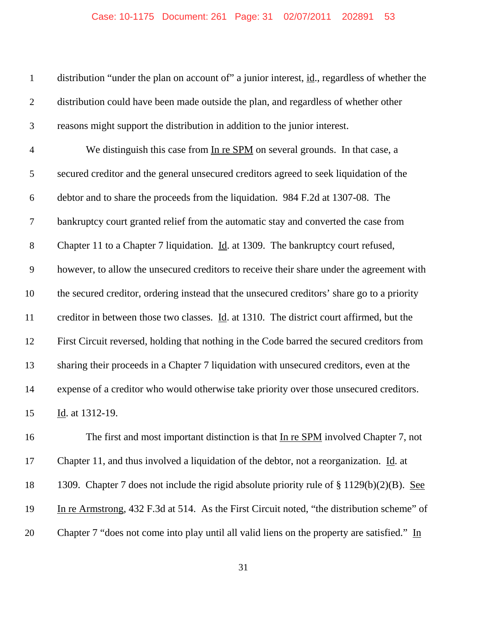| $\mathbf{1}$   | distribution "under the plan on account of" a junior interest, id., regardless of whether the           |
|----------------|---------------------------------------------------------------------------------------------------------|
| $\overline{2}$ | distribution could have been made outside the plan, and regardless of whether other                     |
| 3              | reasons might support the distribution in addition to the junior interest.                              |
| $\overline{4}$ | We distinguish this case from In re SPM on several grounds. In that case, a                             |
| 5              | secured creditor and the general unsecured creditors agreed to seek liquidation of the                  |
| 6              | debtor and to share the proceeds from the liquidation. 984 F.2d at 1307-08. The                         |
| 7              | bankruptcy court granted relief from the automatic stay and converted the case from                     |
| $8\,$          | Chapter 11 to a Chapter 7 liquidation. Id. at 1309. The bankruptcy court refused,                       |
| 9              | however, to allow the unsecured creditors to receive their share under the agreement with               |
| 10             | the secured creditor, ordering instead that the unsecured creditors' share go to a priority             |
| 11             | creditor in between those two classes. $\underline{Id}$ . at 1310. The district court affirmed, but the |
| 12             | First Circuit reversed, holding that nothing in the Code barred the secured creditors from              |
| 13             | sharing their proceeds in a Chapter 7 liquidation with unsecured creditors, even at the                 |
| 14             | expense of a creditor who would otherwise take priority over those unsecured creditors.                 |
| 15             | Id. at 1312-19.                                                                                         |
| 16             | The first and most important distinction is that In re SPM involved Chapter 7, not                      |
| 17             | Chapter 11, and thus involved a liquidation of the debtor, not a reorganization. Id. at                 |
| 18             | 1309. Chapter 7 does not include the rigid absolute priority rule of $\S 1129(b)(2)(B)$ . See           |
| 19             | In re Armstrong, 432 F.3d at 514. As the First Circuit noted, "the distribution scheme" of              |
| 20             | Chapter 7 "does not come into play until all valid liens on the property are satisfied." In             |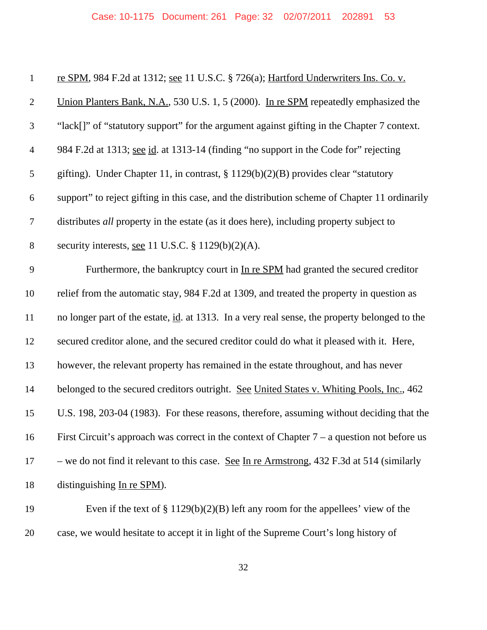| $\mathbf{1}$     | re SPM, 984 F.2d at 1312; see 11 U.S.C. § 726(a); Hartford Underwriters Ins. Co. v.           |
|------------------|-----------------------------------------------------------------------------------------------|
| $\overline{2}$   | Union Planters Bank, N.A., 530 U.S. 1, 5 (2000). In re SPM repeatedly emphasized the          |
| $\mathfrak{Z}$   | "lack[]" of "statutory support" for the argument against gifting in the Chapter 7 context.    |
| $\overline{4}$   | 984 F.2d at 1313; see id. at 1313-14 (finding "no support in the Code for" rejecting          |
| $\mathfrak s$    | gifting). Under Chapter 11, in contrast, $\S 1129(b)(2)(B)$ provides clear "statutory         |
| 6                | support" to reject gifting in this case, and the distribution scheme of Chapter 11 ordinarily |
| $\boldsymbol{7}$ | distributes all property in the estate (as it does here), including property subject to       |
| $8\,$            | security interests, see 11 U.S.C. $\S 1129(b)(2)(A)$ .                                        |
| 9                | Furthermore, the bankruptcy court in In re SPM had granted the secured creditor               |
| 10               | relief from the automatic stay, 984 F.2d at 1309, and treated the property in question as     |
| 11               | no longer part of the estate, id. at 1313. In a very real sense, the property belonged to the |
| 12               | secured creditor alone, and the secured creditor could do what it pleased with it. Here,      |
| 13               | however, the relevant property has remained in the estate throughout, and has never           |
| 14               | belonged to the secured creditors outright. See United States v. Whiting Pools, Inc., 462     |
| 15               | U.S. 198, 203-04 (1983). For these reasons, therefore, assuming without deciding that the     |
| 16               | First Circuit's approach was correct in the context of Chapter $7 - a$ question not before us |
| 17               | - we do not find it relevant to this case. See In re Armstrong, 432 F.3d at 514 (similarly    |
| 18               | distinguishing In re SPM).                                                                    |
| 19               | Even if the text of $\S 1129(b)(2)(B)$ left any room for the appellees' view of the           |

case, we would hesitate to accept it in light of the Supreme Court's long history of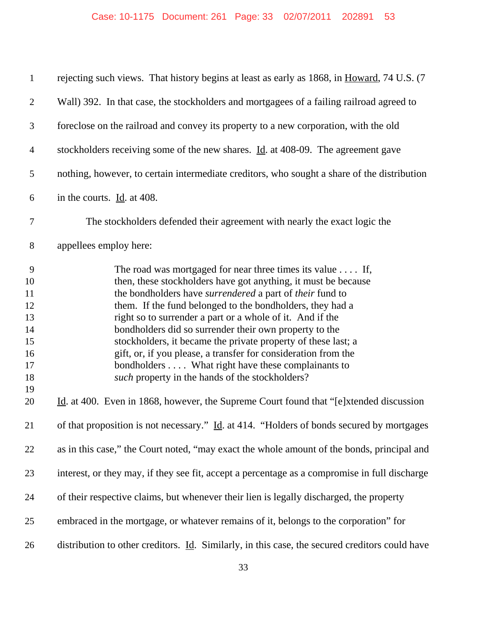| $\mathbf{1}$                                                                     | rejecting such views. That history begins at least as early as 1868, in Howard, 74 U.S. (7                                                                                                                                                                                                                                                                                                                                                                                                                                                                                                                                                                                                                                 |
|----------------------------------------------------------------------------------|----------------------------------------------------------------------------------------------------------------------------------------------------------------------------------------------------------------------------------------------------------------------------------------------------------------------------------------------------------------------------------------------------------------------------------------------------------------------------------------------------------------------------------------------------------------------------------------------------------------------------------------------------------------------------------------------------------------------------|
| $\overline{2}$                                                                   | Wall) 392. In that case, the stockholders and mortgagees of a failing railroad agreed to                                                                                                                                                                                                                                                                                                                                                                                                                                                                                                                                                                                                                                   |
| 3                                                                                | foreclose on the railroad and convey its property to a new corporation, with the old                                                                                                                                                                                                                                                                                                                                                                                                                                                                                                                                                                                                                                       |
| $\overline{4}$                                                                   | stockholders receiving some of the new shares. Id. at 408-09. The agreement gave                                                                                                                                                                                                                                                                                                                                                                                                                                                                                                                                                                                                                                           |
| 5                                                                                | nothing, however, to certain intermediate creditors, who sought a share of the distribution                                                                                                                                                                                                                                                                                                                                                                                                                                                                                                                                                                                                                                |
| 6                                                                                | in the courts. $\underline{Id}$ . at 408.                                                                                                                                                                                                                                                                                                                                                                                                                                                                                                                                                                                                                                                                                  |
| $\boldsymbol{7}$                                                                 | The stockholders defended their agreement with nearly the exact logic the                                                                                                                                                                                                                                                                                                                                                                                                                                                                                                                                                                                                                                                  |
| $8\,$                                                                            | appellees employ here:                                                                                                                                                                                                                                                                                                                                                                                                                                                                                                                                                                                                                                                                                                     |
| $\overline{9}$<br>10<br>11<br>12<br>13<br>14<br>15<br>16<br>17<br>18<br>19<br>20 | The road was mortgaged for near three times its value $\dots$ . If,<br>then, these stockholders have got anything, it must be because<br>the bondholders have surrendered a part of their fund to<br>them. If the fund belonged to the bondholders, they had a<br>right so to surrender a part or a whole of it. And if the<br>bondholders did so surrender their own property to the<br>stockholders, it became the private property of these last; a<br>gift, or, if you please, a transfer for consideration from the<br>bondholders What right have these complainants to<br>such property in the hands of the stockholders?<br>Id. at 400. Even in 1868, however, the Supreme Court found that "[e]xtended discussion |
| 21                                                                               | of that proposition is not necessary." Id. at 414. "Holders of bonds secured by mortgages                                                                                                                                                                                                                                                                                                                                                                                                                                                                                                                                                                                                                                  |
| 22                                                                               | as in this case," the Court noted, "may exact the whole amount of the bonds, principal and                                                                                                                                                                                                                                                                                                                                                                                                                                                                                                                                                                                                                                 |
| 23                                                                               | interest, or they may, if they see fit, accept a percentage as a compromise in full discharge                                                                                                                                                                                                                                                                                                                                                                                                                                                                                                                                                                                                                              |
| 24                                                                               | of their respective claims, but whenever their lien is legally discharged, the property                                                                                                                                                                                                                                                                                                                                                                                                                                                                                                                                                                                                                                    |
| 25                                                                               | embraced in the mortgage, or whatever remains of it, belongs to the corporation" for                                                                                                                                                                                                                                                                                                                                                                                                                                                                                                                                                                                                                                       |
| 26                                                                               | distribution to other creditors. $\underline{Id}$ . Similarly, in this case, the secured creditors could have                                                                                                                                                                                                                                                                                                                                                                                                                                                                                                                                                                                                              |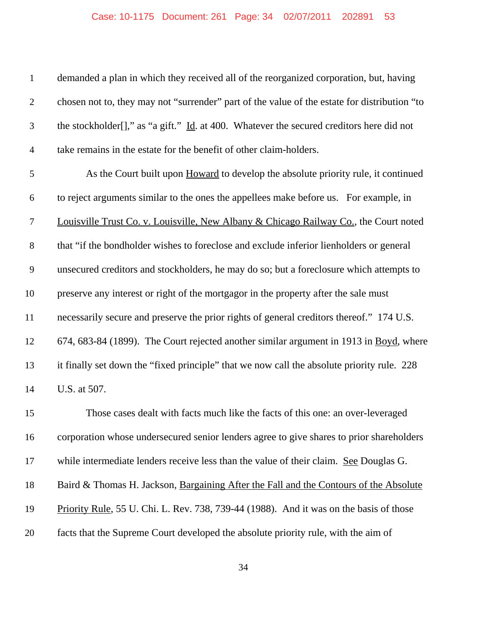#### Case: 10-1175 Document: 261 Page: 34 02/07/2011 202891 53

| $\mathbf{1}$     | demanded a plan in which they received all of the reorganized corporation, but, having                  |
|------------------|---------------------------------------------------------------------------------------------------------|
| $\overline{2}$   | chosen not to, they may not "surrender" part of the value of the estate for distribution "to            |
| $\mathfrak{Z}$   | the stockholder[]," as "a gift." $\underline{Id}$ . at 400. Whatever the secured creditors here did not |
| $\overline{4}$   | take remains in the estate for the benefit of other claim-holders.                                      |
| 5                | As the Court built upon Howard to develop the absolute priority rule, it continued                      |
| 6                | to reject arguments similar to the ones the appellees make before us. For example, in                   |
| $\boldsymbol{7}$ | Louisville Trust Co. v. Louisville, New Albany & Chicago Railway Co., the Court noted                   |
| $8\,$            | that "if the bondholder wishes to foreclose and exclude inferior lienholders or general                 |
| $\mathbf{9}$     | unsecured creditors and stockholders, he may do so; but a foreclosure which attempts to                 |
| 10               | preserve any interest or right of the mortgagor in the property after the sale must                     |
| 11               | necessarily secure and preserve the prior rights of general creditors thereof." 174 U.S.                |
| 12               | 674, 683-84 (1899). The Court rejected another similar argument in 1913 in Boyd, where                  |
| 13               | it finally set down the "fixed principle" that we now call the absolute priority rule. 228              |
| 14               | U.S. at 507.                                                                                            |
| 15               | Those cases dealt with facts much like the facts of this one: an over-leveraged                         |
| 16               | corporation whose undersecured senior lenders agree to give shares to prior shareholders                |
| 17               | while intermediate lenders receive less than the value of their claim. See Douglas G.                   |
| 18               | Baird & Thomas H. Jackson, Bargaining After the Fall and the Contours of the Absolute                   |
| 19               | Priority Rule, 55 U. Chi. L. Rev. 738, 739-44 (1988). And it was on the basis of those                  |
| 20               | facts that the Supreme Court developed the absolute priority rule, with the aim of                      |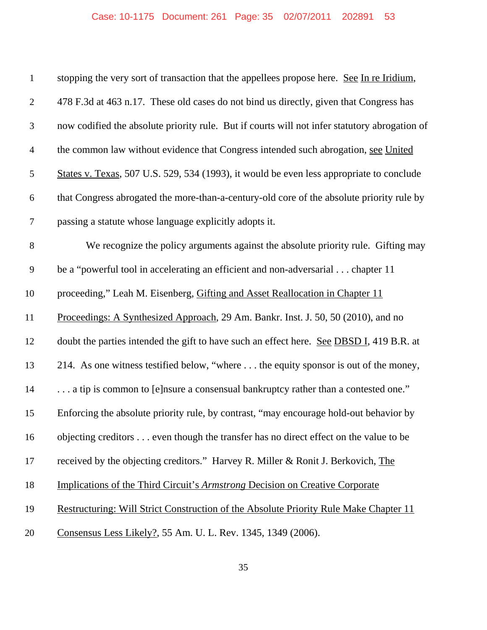| $\mathbf{1}$   | stopping the very sort of transaction that the appellees propose here. See In re Iridium,     |
|----------------|-----------------------------------------------------------------------------------------------|
| $\mathbf{2}$   | 478 F.3d at 463 n.17. These old cases do not bind us directly, given that Congress has        |
| $\mathfrak{Z}$ | now codified the absolute priority rule. But if courts will not infer statutory abrogation of |
| $\overline{4}$ | the common law without evidence that Congress intended such abrogation, see United            |
| $\sqrt{5}$     | States v. Texas, 507 U.S. 529, 534 (1993), it would be even less appropriate to conclude      |
| 6              | that Congress abrogated the more-than-a-century-old core of the absolute priority rule by     |
| $\tau$         | passing a statute whose language explicitly adopts it.                                        |
| $8\,$          | We recognize the policy arguments against the absolute priority rule. Gifting may             |
| 9              | be a "powerful tool in accelerating an efficient and non-adversarial chapter 11               |
| 10             | proceeding," Leah M. Eisenberg, Gifting and Asset Reallocation in Chapter 11                  |
| 11             | Proceedings: A Synthesized Approach, 29 Am. Bankr. Inst. J. 50, 50 (2010), and no             |
| 12             | doubt the parties intended the gift to have such an effect here. See DBSD I, 419 B.R. at      |
| 13             | 214. As one witness testified below, "where  the equity sponsor is out of the money,          |
| 14             | a tip is common to [e]nsure a consensual bankruptcy rather than a contested one."             |
| 15             | Enforcing the absolute priority rule, by contrast, "may encourage hold-out behavior by        |
| 16             | objecting creditors even though the transfer has no direct effect on the value to be          |
| 17             | received by the objecting creditors." Harvey R. Miller & Ronit J. Berkovich, The              |
| 18             | <b>Implications of the Third Circuit's Armstrong Decision on Creative Corporate</b>           |
| 19             | Restructuring: Will Strict Construction of the Absolute Priority Rule Make Chapter 11         |
| 20             | Consensus Less Likely?, 55 Am. U. L. Rev. 1345, 1349 (2006).                                  |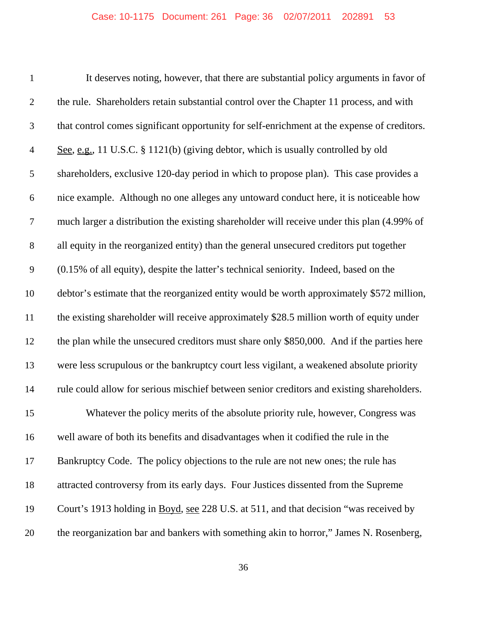| $\mathbf{1}$   | It deserves noting, however, that there are substantial policy arguments in favor of        |
|----------------|---------------------------------------------------------------------------------------------|
| $\overline{2}$ | the rule. Shareholders retain substantial control over the Chapter 11 process, and with     |
| 3              | that control comes significant opportunity for self-enrichment at the expense of creditors. |
| $\overline{4}$ | See, e.g., 11 U.S.C. § 1121(b) (giving debtor, which is usually controlled by old           |
| 5              | shareholders, exclusive 120-day period in which to propose plan). This case provides a      |
| 6              | nice example. Although no one alleges any untoward conduct here, it is noticeable how       |
| 7              | much larger a distribution the existing shareholder will receive under this plan (4.99% of  |
| $8\,$          | all equity in the reorganized entity) than the general unsecured creditors put together     |
| 9              | (0.15% of all equity), despite the latter's technical seniority. Indeed, based on the       |
| 10             | debtor's estimate that the reorganized entity would be worth approximately \$572 million,   |
| 11             | the existing shareholder will receive approximately \$28.5 million worth of equity under    |
| 12             | the plan while the unsecured creditors must share only \$850,000. And if the parties here   |
| 13             | were less scrupulous or the bankruptcy court less vigilant, a weakened absolute priority    |
| 14             | rule could allow for serious mischief between senior creditors and existing shareholders.   |
| 15             | Whatever the policy merits of the absolute priority rule, however, Congress was             |
| 16             | well aware of both its benefits and disadvantages when it codified the rule in the          |
| 17             | Bankruptcy Code. The policy objections to the rule are not new ones; the rule has           |
| 18             | attracted controversy from its early days. Four Justices dissented from the Supreme         |
| 19             | Court's 1913 holding in Boyd, see 228 U.S. at 511, and that decision "was received by       |
| 20             | the reorganization bar and bankers with something akin to horror," James N. Rosenberg,      |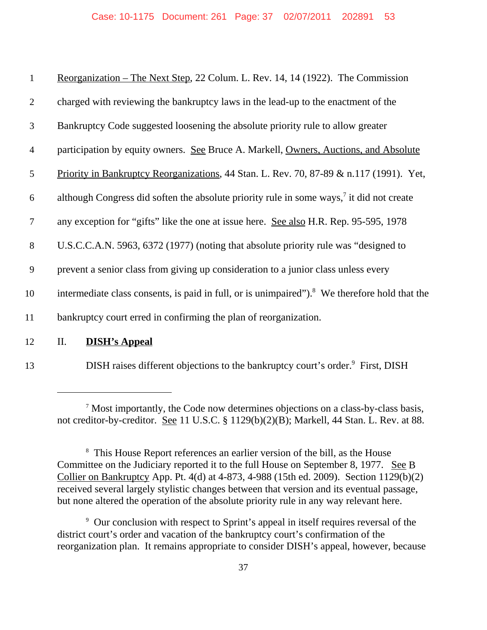| $\mathbf{1}$   | Reorganization – The Next Step, 22 Colum. L. Rev. 14, 14 (1922). The Commission                           |
|----------------|-----------------------------------------------------------------------------------------------------------|
| $\overline{2}$ | charged with reviewing the bankruptcy laws in the lead-up to the enactment of the                         |
| 3              | Bankruptcy Code suggested loosening the absolute priority rule to allow greater                           |
| $\overline{4}$ | participation by equity owners. See Bruce A. Markell, Owners, Auctions, and Absolute                      |
| 5              | Priority in Bankruptcy Reorganizations, 44 Stan. L. Rev. 70, 87-89 & n.117 (1991). Yet,                   |
| 6              | although Congress did soften the absolute priority rule in some ways, <sup>7</sup> it did not create      |
| $\overline{7}$ | any exception for "gifts" like the one at issue here. See also H.R. Rep. 95-595, 1978                     |
| 8              | U.S.C.C.A.N. 5963, 6372 (1977) (noting that absolute priority rule was "designed to                       |
| 9              | prevent a senior class from giving up consideration to a junior class unless every                        |
| 10             | intermediate class consents, is paid in full, or is unimpaired"). <sup>8</sup> We therefore hold that the |
| 11             | bankruptcy court erred in confirming the plan of reorganization.                                          |
| 12             | П.<br><b>DISH's Appeal</b>                                                                                |
|                |                                                                                                           |

13 DISH raises different objections to the bankruptcy court's order.<sup>9</sup> First, DISH

<sup>&</sup>lt;sup>7</sup> Most importantly, the Code now determines objections on a class-by-class basis, not creditor-by-creditor. See 11 U.S.C. § 1129(b)(2)(B); Markell, 44 Stan. L. Rev. at 88.

<sup>&</sup>lt;sup>8</sup> This House Report references an earlier version of the bill, as the House Committee on the Judiciary reported it to the full House on September 8, 1977. See B Collier on Bankruptcy App. Pt. 4(d) at 4-873, 4-988 (15th ed. 2009). Section 1129(b)(2) received several largely stylistic changes between that version and its eventual passage, but none altered the operation of the absolute priority rule in any way relevant here.

<sup>&</sup>lt;sup>9</sup> Our conclusion with respect to Sprint's appeal in itself requires reversal of the district court's order and vacation of the bankruptcy court's confirmation of the reorganization plan. It remains appropriate to consider DISH's appeal, however, because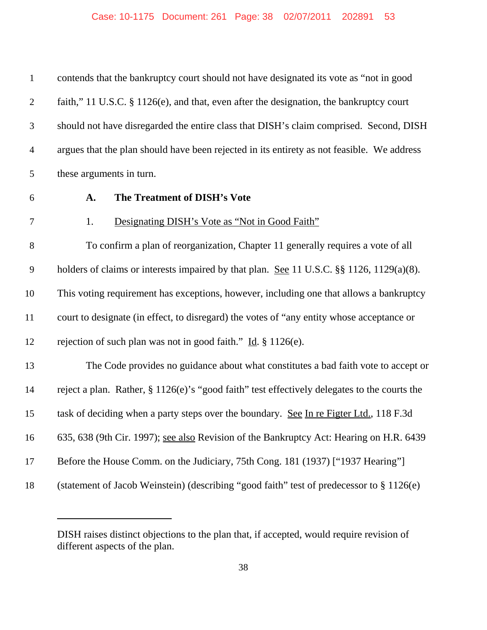| $\mathbf{1}$   | contends that the bankruptcy court should not have designated its vote as "not in good       |
|----------------|----------------------------------------------------------------------------------------------|
| $\overline{2}$ | faith," 11 U.S.C. § 1126(e), and that, even after the designation, the bankruptcy court      |
| 3              | should not have disregarded the entire class that DISH's claim comprised. Second, DISH       |
| $\overline{4}$ | argues that the plan should have been rejected in its entirety as not feasible. We address   |
| 5              | these arguments in turn.                                                                     |
| 6              | The Treatment of DISH's Vote<br>A.                                                           |
| $\tau$         | 1.<br>Designating DISH's Vote as "Not in Good Faith"                                         |
| 8              | To confirm a plan of reorganization, Chapter 11 generally requires a vote of all             |
| 9              | holders of claims or interests impaired by that plan. See 11 U.S.C. §§ 1126, 1129(a)(8).     |
| 10             | This voting requirement has exceptions, however, including one that allows a bankruptcy      |
| 11             | court to designate (in effect, to disregard) the votes of "any entity whose acceptance or    |
| 12             | rejection of such plan was not in good faith." $\underline{Id}$ . § 1126(e).                 |
| 13             | The Code provides no guidance about what constitutes a bad faith vote to accept or           |
| 14             | reject a plan. Rather, § 1126(e)'s "good faith" test effectively delegates to the courts the |
| 15             | task of deciding when a party steps over the boundary. See In re Figter Ltd., 118 F.3d       |
| 16             | 635, 638 (9th Cir. 1997); see also Revision of the Bankruptcy Act: Hearing on H.R. 6439      |
| 17             | Before the House Comm. on the Judiciary, 75th Cong. 181 (1937) ["1937 Hearing"]              |
| 18             | (statement of Jacob Weinstein) (describing "good faith" test of predecessor to § 1126(e)     |

DISH raises distinct objections to the plan that, if accepted, would require revision of different aspects of the plan.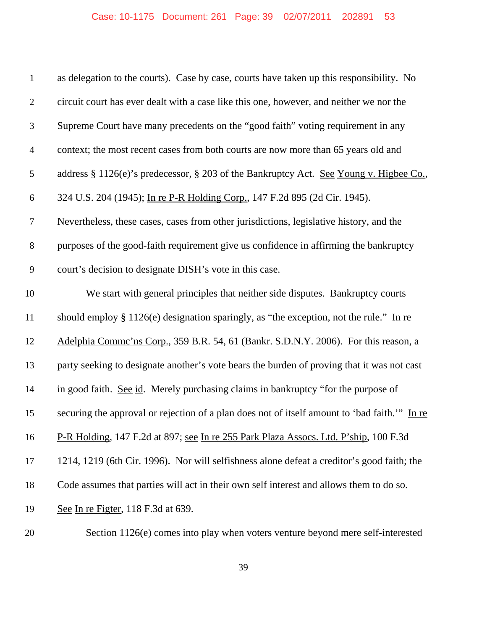| $\mathbf{1}$   | as delegation to the courts). Case by case, courts have taken up this responsibility. No      |
|----------------|-----------------------------------------------------------------------------------------------|
| $\overline{2}$ | circuit court has ever dealt with a case like this one, however, and neither we nor the       |
| 3              | Supreme Court have many precedents on the "good faith" voting requirement in any              |
| $\overline{4}$ | context; the most recent cases from both courts are now more than 65 years old and            |
| 5              | address § 1126(e)'s predecessor, § 203 of the Bankruptcy Act. See Young v. Higbee Co.,        |
| 6              | 324 U.S. 204 (1945); In re P-R Holding Corp., 147 F.2d 895 (2d Cir. 1945).                    |
| 7              | Nevertheless, these cases, cases from other jurisdictions, legislative history, and the       |
| $8\,$          | purposes of the good-faith requirement give us confidence in affirming the bankruptcy         |
| $\mathbf{9}$   | court's decision to designate DISH's vote in this case.                                       |
| 10             | We start with general principles that neither side disputes. Bankruptcy courts                |
| 11             | should employ $\S 1126(e)$ designation sparingly, as "the exception, not the rule." In re     |
| 12             | Adelphia Commc'ns Corp., 359 B.R. 54, 61 (Bankr. S.D.N.Y. 2006). For this reason, a           |
| 13             | party seeking to designate another's vote bears the burden of proving that it was not cast    |
| 14             | in good faith. See id. Merely purchasing claims in bankruptcy "for the purpose of             |
| 15             | securing the approval or rejection of a plan does not of itself amount to 'bad faith.'" In re |
| 16             | P-R Holding, 147 F.2d at 897; see In re 255 Park Plaza Assocs. Ltd. P'ship, 100 F.3d          |
| 17             | 1214, 1219 (6th Cir. 1996). Nor will selfishness alone defeat a creditor's good faith; the    |
| 18             | Code assumes that parties will act in their own self interest and allows them to do so.       |
| 19             | See In re Figter, 118 F.3d at 639.                                                            |
| 20             | Section 1126(e) comes into play when voters venture beyond mere self-interested               |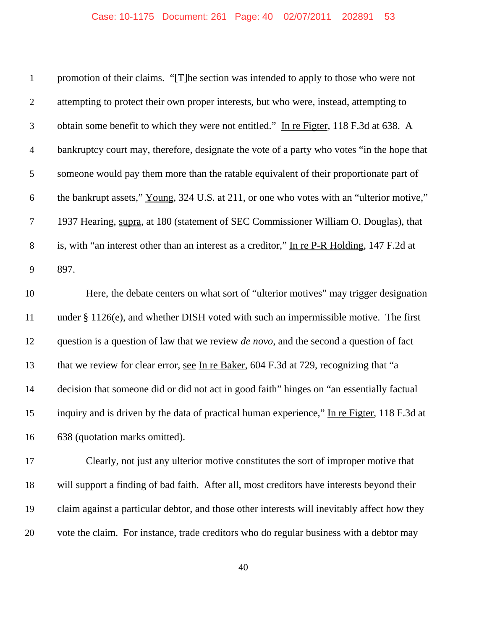| $\mathbf{1}$   | promotion of their claims. "[T] he section was intended to apply to those who were not          |
|----------------|-------------------------------------------------------------------------------------------------|
| $\overline{2}$ | attempting to protect their own proper interests, but who were, instead, attempting to          |
| $\mathfrak{Z}$ | obtain some benefit to which they were not entitled." In re Figter, 118 F.3d at 638. A          |
| $\overline{4}$ | bankruptcy court may, therefore, designate the vote of a party who votes "in the hope that      |
| 5              | someone would pay them more than the ratable equivalent of their proportionate part of          |
| 6              | the bankrupt assets," Young, 324 U.S. at 211, or one who votes with an "ulterior motive,"       |
| $\tau$         | 1937 Hearing, supra, at 180 (statement of SEC Commissioner William O. Douglas), that            |
| $8\,$          | is, with "an interest other than an interest as a creditor," In re P-R Holding, 147 F.2d at     |
| 9              | 897.                                                                                            |
| 10             | Here, the debate centers on what sort of "ulterior motives" may trigger designation             |
| 11             | under § 1126(e), and whether DISH voted with such an impermissible motive. The first            |
| 12             | question is a question of law that we review <i>de novo</i> , and the second a question of fact |
| 13             | that we review for clear error, see In re Baker, 604 F.3d at 729, recognizing that "a           |
| 14             | decision that someone did or did not act in good faith" hinges on "an essentially factual       |
| 15             | inquiry and is driven by the data of practical human experience," In re Figter, 118 F.3d at     |
| 16             | 638 (quotation marks omitted).                                                                  |
| 17             | Clearly, not just any ulterior motive constitutes the sort of improper motive that              |
| 18             | will support a finding of bad faith. After all, most creditors have interests beyond their      |
| 19             | claim against a particular debtor, and those other interests will inevitably affect how they    |
| 20             | vote the claim. For instance, trade creditors who do regular business with a debtor may         |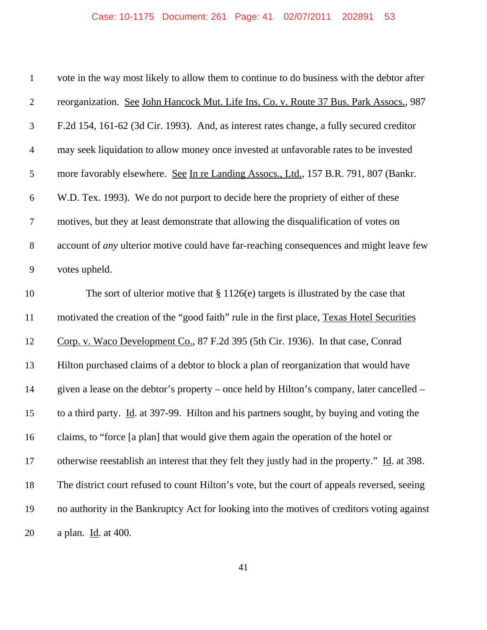## Case: 10-1175 Document: 261 Page: 41 02/07/2011 202891 53

| $\mathbf{1}$     | vote in the way most likely to allow them to continue to do business with the debtor after     |
|------------------|------------------------------------------------------------------------------------------------|
| $\mathfrak{2}$   | reorganization. See John Hancock Mut. Life Ins. Co. v. Route 37 Bus. Park Assocs., 987         |
| $\mathfrak{Z}$   | F.2d 154, 161-62 (3d Cir. 1993). And, as interest rates change, a fully secured creditor       |
| $\overline{4}$   | may seek liquidation to allow money once invested at unfavorable rates to be invested          |
| 5                | more favorably elsewhere. See In re Landing Assocs., Ltd., 157 B.R. 791, 807 (Bankr.           |
| 6                | W.D. Tex. 1993). We do not purport to decide here the propriety of either of these             |
| $\tau$           | motives, but they at least demonstrate that allowing the disqualification of votes on          |
| $8\,$            | account of <i>any</i> ulterior motive could have far-reaching consequences and might leave few |
| $\boldsymbol{9}$ | votes upheld.                                                                                  |
| 10               | The sort of ulterior motive that $\S 1126(e)$ targets is illustrated by the case that          |
| 11               | motivated the creation of the "good faith" rule in the first place, Texas Hotel Securities     |
| 12               | Corp. v. Waco Development Co., 87 F.2d 395 (5th Cir. 1936). In that case, Conrad               |
| 13               | Hilton purchased claims of a debtor to block a plan of reorganization that would have          |
| 14               | given a lease on the debtor's property – once held by Hilton's company, later cancelled –      |
| 15               | to a third party. Id. at 397-99. Hilton and his partners sought, by buying and voting the      |
| 16               | claims, to "force [a plan] that would give them again the operation of the hotel or            |
| 17               | otherwise reestablish an interest that they felt they justly had in the property." Id. at 398. |
| 18               | The district court refused to count Hilton's vote, but the court of appeals reversed, seeing   |
| 19               | no authority in the Bankruptcy Act for looking into the motives of creditors voting against    |
| 20               | a plan. Id. at 400.                                                                            |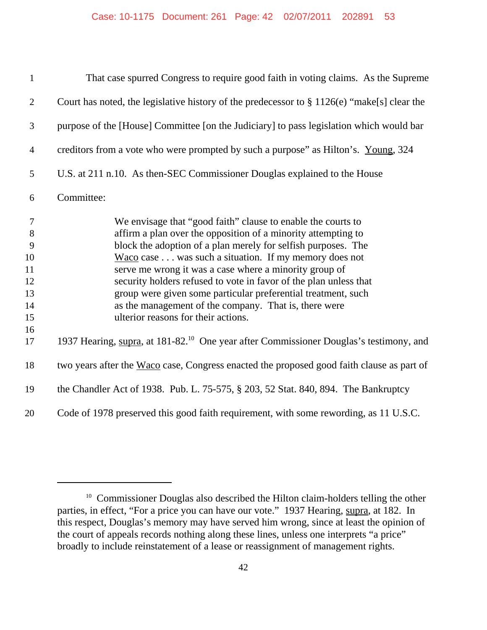| $\mathbf{1}$                                         | That case spurred Congress to require good faith in voting claims. As the Supreme                                                                                                                                                                                                                                                                                                                                                                                                                                                                                   |
|------------------------------------------------------|---------------------------------------------------------------------------------------------------------------------------------------------------------------------------------------------------------------------------------------------------------------------------------------------------------------------------------------------------------------------------------------------------------------------------------------------------------------------------------------------------------------------------------------------------------------------|
| $\mathbf{2}$                                         | Court has noted, the legislative history of the predecessor to $\S 1126(e)$ "make[s] clear the                                                                                                                                                                                                                                                                                                                                                                                                                                                                      |
| 3                                                    | purpose of the [House] Committee [on the Judiciary] to pass legislation which would bar                                                                                                                                                                                                                                                                                                                                                                                                                                                                             |
| $\overline{4}$                                       | creditors from a vote who were prompted by such a purpose" as Hilton's. Young, 324                                                                                                                                                                                                                                                                                                                                                                                                                                                                                  |
| $\mathfrak s$                                        | U.S. at 211 n.10. As then-SEC Commissioner Douglas explained to the House                                                                                                                                                                                                                                                                                                                                                                                                                                                                                           |
| 6                                                    | Committee:                                                                                                                                                                                                                                                                                                                                                                                                                                                                                                                                                          |
| $\tau$<br>8<br>9<br>10<br>11<br>12<br>13<br>14<br>15 | We envisage that "good faith" clause to enable the courts to<br>affirm a plan over the opposition of a minority attempting to<br>block the adoption of a plan merely for selfish purposes. The<br>$Wacco$ case $\ldots$ was such a situation. If my memory does not<br>serve me wrong it was a case where a minority group of<br>security holders refused to vote in favor of the plan unless that<br>group were given some particular preferential treatment, such<br>as the management of the company. That is, there were<br>ulterior reasons for their actions. |
| 16<br>17                                             | 1937 Hearing, supra, at 181-82. <sup>10</sup> One year after Commissioner Douglas's testimony, and                                                                                                                                                                                                                                                                                                                                                                                                                                                                  |
| 18                                                   | two years after the Waco case, Congress enacted the proposed good faith clause as part of                                                                                                                                                                                                                                                                                                                                                                                                                                                                           |
| 19                                                   | the Chandler Act of 1938. Pub. L. 75-575, § 203, 52 Stat. 840, 894. The Bankruptcy                                                                                                                                                                                                                                                                                                                                                                                                                                                                                  |
| 20                                                   | Code of 1978 preserved this good faith requirement, with some rewording, as 11 U.S.C.                                                                                                                                                                                                                                                                                                                                                                                                                                                                               |

<sup>&</sup>lt;sup>10</sup> Commissioner Douglas also described the Hilton claim-holders telling the other parties, in effect, "For a price you can have our vote." 1937 Hearing, supra, at 182. In this respect, Douglas's memory may have served him wrong, since at least the opinion of the court of appeals records nothing along these lines, unless one interprets "a price" broadly to include reinstatement of a lease or reassignment of management rights.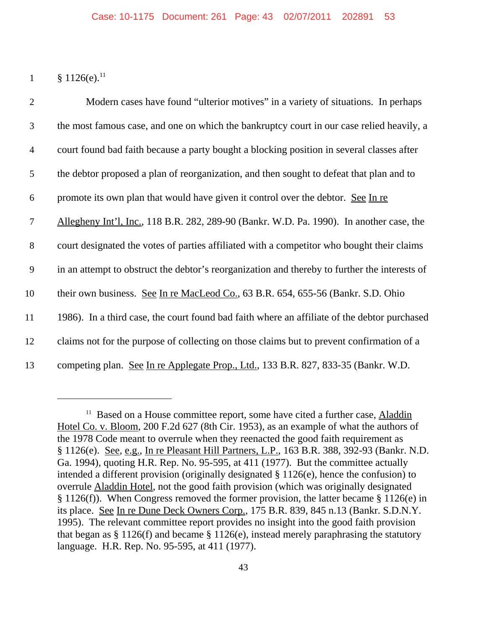1  $§ 1126(e).$ <sup>11</sup>

| $\overline{2}$ | Modern cases have found "ulterior motives" in a variety of situations. In perhaps             |
|----------------|-----------------------------------------------------------------------------------------------|
| 3              | the most famous case, and one on which the bankruptcy court in our case relied heavily, a     |
| $\overline{4}$ | court found bad faith because a party bought a blocking position in several classes after     |
| 5              | the debtor proposed a plan of reorganization, and then sought to defeat that plan and to      |
| 6              | promote its own plan that would have given it control over the debtor. See In re              |
| $\tau$         | Allegheny Int'l, Inc., 118 B.R. 282, 289-90 (Bankr. W.D. Pa. 1990). In another case, the      |
| 8              | court designated the votes of parties affiliated with a competitor who bought their claims    |
| 9              | in an attempt to obstruct the debtor's reorganization and thereby to further the interests of |
| 10             | their own business. See In re MacLeod Co., 63 B.R. 654, 655-56 (Bankr. S.D. Ohio              |
| 11             | 1986). In a third case, the court found bad faith where an affiliate of the debtor purchased  |
| 12             | claims not for the purpose of collecting on those claims but to prevent confirmation of a     |
| 13             | competing plan. See In re Applegate Prop., Ltd., 133 B.R. 827, 833-35 (Bankr. W.D.            |

<sup>&</sup>lt;sup>11</sup> Based on a House committee report, some have cited a further case, **Aladdin** Hotel Co. v. Bloom, 200 F.2d 627 (8th Cir. 1953), as an example of what the authors of the 1978 Code meant to overrule when they reenacted the good faith requirement as § 1126(e). See, e.g., In re Pleasant Hill Partners, L.P., 163 B.R. 388, 392-93 (Bankr. N.D. Ga. 1994), quoting H.R. Rep. No. 95-595, at 411 (1977). But the committee actually intended a different provision (originally designated § 1126(e), hence the confusion) to overrule Aladdin Hotel, not the good faith provision (which was originally designated § 1126(f)). When Congress removed the former provision, the latter became § 1126(e) in its place. See In re Dune Deck Owners Corp., 175 B.R. 839, 845 n.13 (Bankr. S.D.N.Y. 1995). The relevant committee report provides no insight into the good faith provision that began as § 1126(f) and became § 1126(e), instead merely paraphrasing the statutory language. H.R. Rep. No. 95-595, at 411 (1977).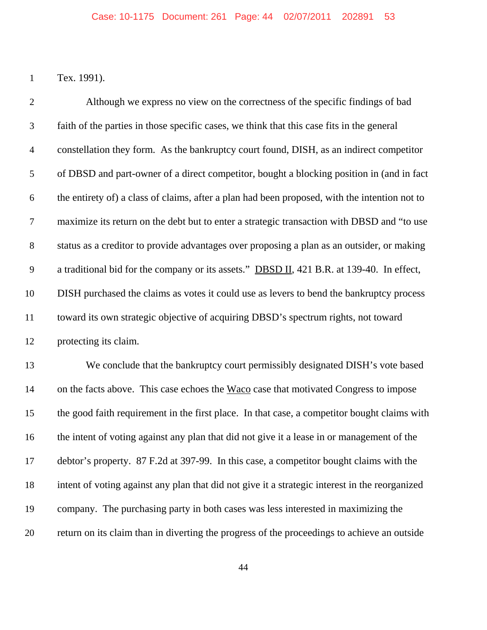Tex. 1991).

 Although we express no view on the correctness of the specific findings of bad faith of the parties in those specific cases, we think that this case fits in the general constellation they form. As the bankruptcy court found, DISH, as an indirect competitor of DBSD and part-owner of a direct competitor, bought a blocking position in (and in fact the entirety of) a class of claims, after a plan had been proposed, with the intention not to maximize its return on the debt but to enter a strategic transaction with DBSD and "to use status as a creditor to provide advantages over proposing a plan as an outsider, or making a traditional bid for the company or its assets." DBSD II, 421 B.R. at 139-40. In effect, DISH purchased the claims as votes it could use as levers to bend the bankruptcy process toward its own strategic objective of acquiring DBSD's spectrum rights, not toward protecting its claim. We conclude that the bankruptcy court permissibly designated DISH's vote based 14 on the facts above. This case echoes the Waco case that motivated Congress to impose

 the good faith requirement in the first place. In that case, a competitor bought claims with the intent of voting against any plan that did not give it a lease in or management of the debtor's property. 87 F.2d at 397-99. In this case, a competitor bought claims with the intent of voting against any plan that did not give it a strategic interest in the reorganized company. The purchasing party in both cases was less interested in maximizing the return on its claim than in diverting the progress of the proceedings to achieve an outside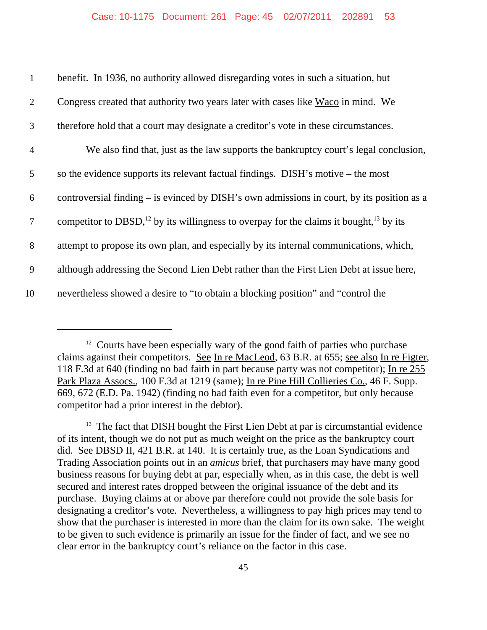| $\mathbf{1}$   | benefit. In 1936, no authority allowed disregarding votes in such a situation, but                             |
|----------------|----------------------------------------------------------------------------------------------------------------|
| $\overline{2}$ | Congress created that authority two years later with cases like Waco in mind. We                               |
| 3              | therefore hold that a court may designate a creditor's vote in these circumstances.                            |
| $\overline{4}$ | We also find that, just as the law supports the bankruptcy court's legal conclusion,                           |
| 5              | so the evidence supports its relevant factual findings. DISH's motive – the most                               |
| 6              | controversial finding – is evinced by DISH's own admissions in court, by its position as a                     |
| $\tau$         | competitor to DBSD, <sup>12</sup> by its willingness to overpay for the claims it bought, <sup>13</sup> by its |
| 8              | attempt to propose its own plan, and especially by its internal communications, which,                         |
| 9              | although addressing the Second Lien Debt rather than the First Lien Debt at issue here,                        |
| 10             | nevertheless showed a desire to "to obtain a blocking position" and "control the                               |

 $12$  Courts have been especially wary of the good faith of parties who purchase claims against their competitors. See In re MacLeod, 63 B.R. at 655; see also In re Figter, 118 F.3d at 640 (finding no bad faith in part because party was not competitor); In re 255 Park Plaza Assocs., 100 F.3d at 1219 (same); In re Pine Hill Collieries Co., 46 F. Supp. 669, 672 (E.D. Pa. 1942) (finding no bad faith even for a competitor, but only because competitor had a prior interest in the debtor).

<sup>&</sup>lt;sup>13</sup> The fact that DISH bought the First Lien Debt at par is circumstantial evidence of its intent, though we do not put as much weight on the price as the bankruptcy court did. See DBSD II, 421 B.R. at 140. It is certainly true, as the Loan Syndications and Trading Association points out in an *amicus* brief, that purchasers may have many good business reasons for buying debt at par, especially when, as in this case, the debt is well secured and interest rates dropped between the original issuance of the debt and its purchase. Buying claims at or above par therefore could not provide the sole basis for designating a creditor's vote. Nevertheless, a willingness to pay high prices may tend to show that the purchaser is interested in more than the claim for its own sake. The weight to be given to such evidence is primarily an issue for the finder of fact, and we see no clear error in the bankruptcy court's reliance on the factor in this case.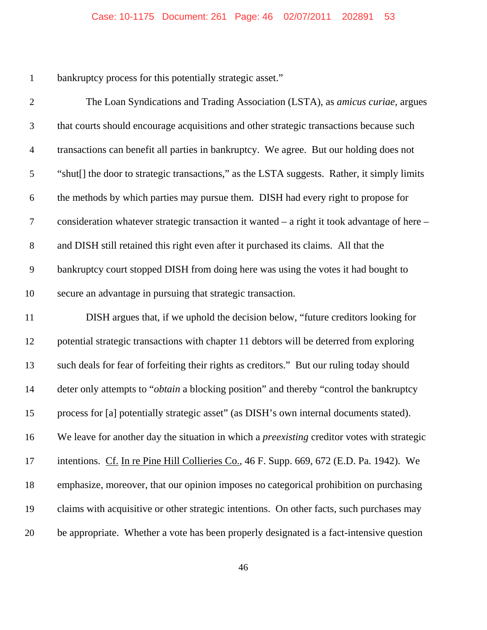bankruptcy process for this potentially strategic asset."

 The Loan Syndications and Trading Association (LSTA), as *amicus curiae*, argues that courts should encourage acquisitions and other strategic transactions because such transactions can benefit all parties in bankruptcy. We agree. But our holding does not "shut[] the door to strategic transactions," as the LSTA suggests. Rather, it simply limits the methods by which parties may pursue them. DISH had every right to propose for consideration whatever strategic transaction it wanted – a right it took advantage of here – and DISH still retained this right even after it purchased its claims. All that the bankruptcy court stopped DISH from doing here was using the votes it had bought to secure an advantage in pursuing that strategic transaction. DISH argues that, if we uphold the decision below, "future creditors looking for potential strategic transactions with chapter 11 debtors will be deterred from exploring such deals for fear of forfeiting their rights as creditors." But our ruling today should deter only attempts to "*obtain* a blocking position" and thereby "control the bankruptcy process for [a] potentially strategic asset" (as DISH's own internal documents stated). We leave for another day the situation in which a *preexisting* creditor votes with strategic intentions. Cf. In re Pine Hill Collieries Co., 46 F. Supp. 669, 672 (E.D. Pa. 1942). We emphasize, moreover, that our opinion imposes no categorical prohibition on purchasing claims with acquisitive or other strategic intentions. On other facts, such purchases may be appropriate. Whether a vote has been properly designated is a fact-intensive question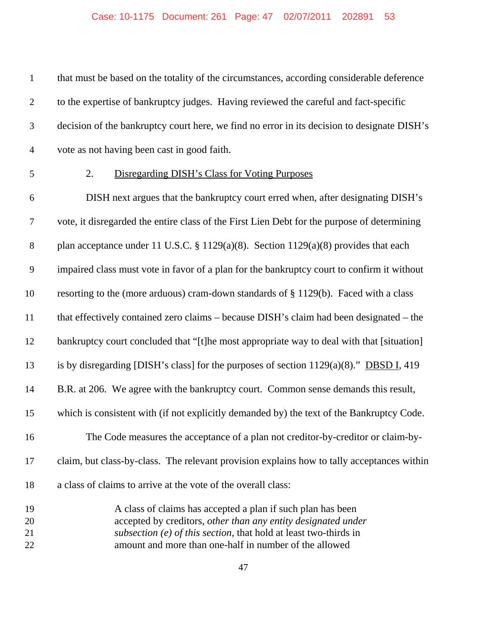that must be based on the totality of the circumstances, according considerable deference to the expertise of bankruptcy judges. Having reviewed the careful and fact-specific decision of the bankruptcy court here, we find no error in its decision to designate DISH's vote as not having been cast in good faith.

#### 2. Disregarding DISH's Class for Voting Purposes

 DISH next argues that the bankruptcy court erred when, after designating DISH's vote, it disregarded the entire class of the First Lien Debt for the purpose of determining plan acceptance under 11 U.S.C. § 1129(a)(8). Section 1129(a)(8) provides that each impaired class must vote in favor of a plan for the bankruptcy court to confirm it without resorting to the (more arduous) cram-down standards of § 1129(b). Faced with a class that effectively contained zero claims – because DISH's claim had been designated – the 12 bankruptcy court concluded that "[t]he most appropriate way to deal with that [situation] is by disregarding [DISH's class] for the purposes of section 1129(a)(8)." DBSD I, 419 B.R. at 206. We agree with the bankruptcy court. Common sense demands this result, which is consistent with (if not explicitly demanded by) the text of the Bankruptcy Code. The Code measures the acceptance of a plan not creditor-by-creditor or claim-by- claim, but class-by-class. The relevant provision explains how to tally acceptances within a class of claims to arrive at the vote of the overall class: A class of claims has accepted a plan if such plan has been

 accepted by creditors, *other than any entity designated under subsection (e) of this section*, that hold at least two-thirds in amount and more than one-half in number of the allowed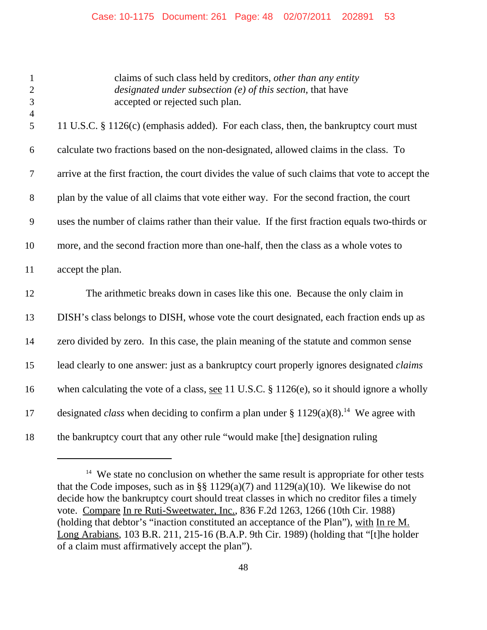| $\mathbf{1}$<br>$\mathbf{2}$<br>3 | claims of such class held by creditors, other than any entity<br>designated under subsection (e) of this section, that have<br>accepted or rejected such plan. |
|-----------------------------------|----------------------------------------------------------------------------------------------------------------------------------------------------------------|
| $\overline{4}$<br>5               | 11 U.S.C. § 1126(c) (emphasis added). For each class, then, the bankruptcy court must                                                                          |
| 6                                 | calculate two fractions based on the non-designated, allowed claims in the class. To                                                                           |
| $\tau$                            | arrive at the first fraction, the court divides the value of such claims that vote to accept the                                                               |
| $8\phantom{1}$                    | plan by the value of all claims that vote either way. For the second fraction, the court                                                                       |
| 9                                 | uses the number of claims rather than their value. If the first fraction equals two-thirds or                                                                  |
| 10                                | more, and the second fraction more than one-half, then the class as a whole votes to                                                                           |
| 11                                | accept the plan.                                                                                                                                               |
| 12                                | The arithmetic breaks down in cases like this one. Because the only claim in                                                                                   |
| 13                                | DISH's class belongs to DISH, whose vote the court designated, each fraction ends up as                                                                        |
| 14                                | zero divided by zero. In this case, the plain meaning of the statute and common sense                                                                          |
| 15                                | lead clearly to one answer: just as a bankruptcy court properly ignores designated <i>claims</i>                                                               |
| 16                                | when calculating the vote of a class, <u>see</u> 11 U.S.C. $\S$ 1126(e), so it should ignore a wholly                                                          |
| 17                                | designated <i>class</i> when deciding to confirm a plan under $\S 1129(a)(8)$ . <sup>14</sup> We agree with                                                    |
| 18                                | the bankruptcy court that any other rule "would make [the] designation ruling                                                                                  |

<sup>&</sup>lt;sup>14</sup> We state no conclusion on whether the same result is appropriate for other tests that the Code imposes, such as in §§ 1129(a)(7) and 1129(a)(10). We likewise do not decide how the bankruptcy court should treat classes in which no creditor files a timely vote. Compare In re Ruti-Sweetwater, Inc., 836 F.2d 1263, 1266 (10th Cir. 1988) (holding that debtor's "inaction constituted an acceptance of the Plan"), with In re M. Long Arabians, 103 B.R. 211, 215-16 (B.A.P. 9th Cir. 1989) (holding that "[t]he holder of a claim must affirmatively accept the plan").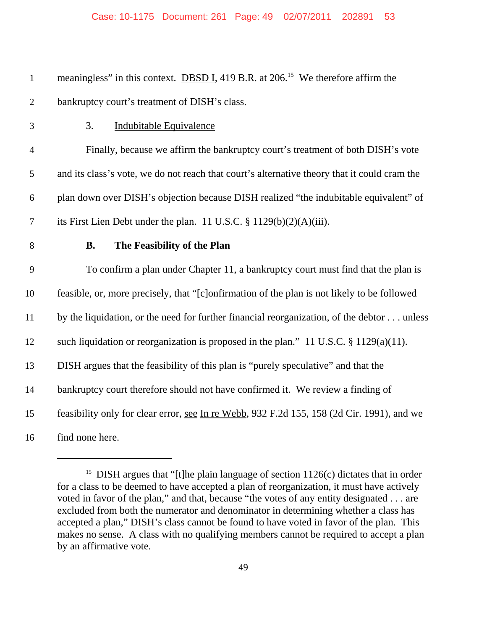1 meaningless" in this context. **DBSD I**, 419 B.R. at 206<sup>15</sup> We therefore affirm the bankruptcy court's treatment of DISH's class. 3. Indubitable Equivalence Finally, because we affirm the bankruptcy court's treatment of both DISH's vote and its class's vote, we do not reach that court's alternative theory that it could cram the plan down over DISH's objection because DISH realized "the indubitable equivalent" of its First Lien Debt under the plan. 11 U.S.C. § 1129(b)(2)(A)(iii). **B. The Feasibility of the Plan** To confirm a plan under Chapter 11, a bankruptcy court must find that the plan is feasible, or, more precisely, that "[c]onfirmation of the plan is not likely to be followed by the liquidation, or the need for further financial reorganization, of the debtor . . . unless such liquidation or reorganization is proposed in the plan." 11 U.S.C. § 1129(a)(11). DISH argues that the feasibility of this plan is "purely speculative" and that the bankruptcy court therefore should not have confirmed it. We review a finding of feasibility only for clear error, see In re Webb, 932 F.2d 155, 158 (2d Cir. 1991), and we find none here.

<sup>&</sup>lt;sup>15</sup> DISH argues that "[t]he plain language of section  $1126(c)$  dictates that in order for a class to be deemed to have accepted a plan of reorganization, it must have actively voted in favor of the plan," and that, because "the votes of any entity designated . . . are excluded from both the numerator and denominator in determining whether a class has accepted a plan," DISH's class cannot be found to have voted in favor of the plan. This makes no sense. A class with no qualifying members cannot be required to accept a plan by an affirmative vote.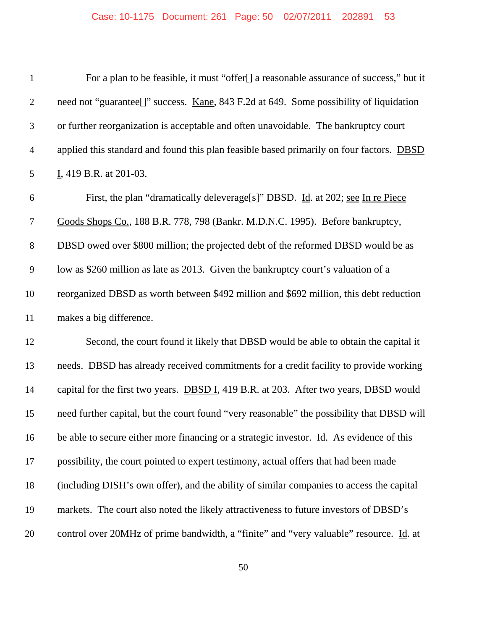| $\mathbf{1}$     | For a plan to be feasible, it must "offer[] a reasonable assurance of success," but it        |
|------------------|-----------------------------------------------------------------------------------------------|
| $\mathbf{2}$     | need not "guarantee[]" success. Kane, 843 F.2d at 649. Some possibility of liquidation        |
| $\mathfrak{Z}$   | or further reorganization is acceptable and often unavoidable. The bankruptcy court           |
| $\overline{4}$   | applied this standard and found this plan feasible based primarily on four factors. DBSD      |
| 5                | I, 419 B.R. at 201-03.                                                                        |
| 6                | First, the plan "dramatically deleverage[s]" DBSD. Id. at 202; see In re Piece                |
| $\boldsymbol{7}$ | Goods Shops Co., 188 B.R. 778, 798 (Bankr. M.D.N.C. 1995). Before bankruptcy,                 |
| 8                | DBSD owed over \$800 million; the projected debt of the reformed DBSD would be as             |
| $\mathbf{9}$     | low as \$260 million as late as 2013. Given the bankruptcy court's valuation of a             |
| 10               | reorganized DBSD as worth between \$492 million and \$692 million, this debt reduction        |
| 11               | makes a big difference.                                                                       |
| 12               | Second, the court found it likely that DBSD would be able to obtain the capital it            |
| 13               | needs. DBSD has already received commitments for a credit facility to provide working         |
| 14               | capital for the first two years. <b>DBSD I</b> , 419 B.R. at 203. After two years, DBSD would |
| 15               | need further capital, but the court found "very reasonable" the possibility that DBSD will    |
| 16               | be able to secure either more financing or a strategic investor. Id. As evidence of this      |
| 17               | possibility, the court pointed to expert testimony, actual offers that had been made          |
| 18               | (including DISH's own offer), and the ability of similar companies to access the capital      |
| 19               | markets. The court also noted the likely attractiveness to future investors of DBSD's         |
| 20               | control over 20MHz of prime bandwidth, a "finite" and "very valuable" resource. Id. at        |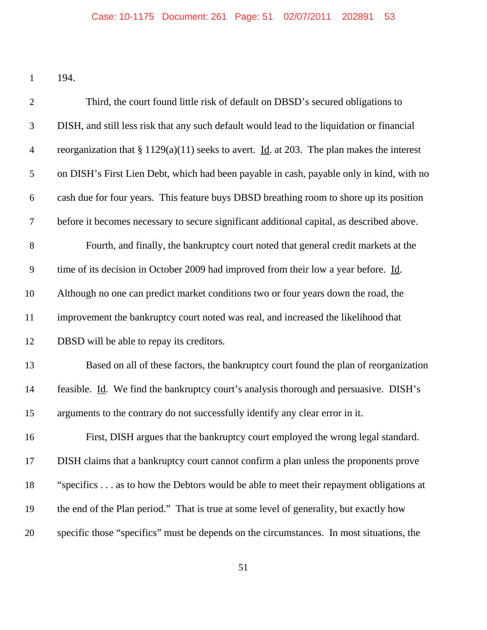194.

| $\overline{2}$   | Third, the court found little risk of default on DBSD's secured obligations to                     |
|------------------|----------------------------------------------------------------------------------------------------|
| 3                | DISH, and still less risk that any such default would lead to the liquidation or financial         |
| $\overline{4}$   | reorganization that § 1129(a)(11) seeks to avert. Id. at 203. The plan makes the interest          |
| $\mathfrak{S}$   | on DISH's First Lien Debt, which had been payable in cash, payable only in kind, with no           |
| 6                | cash due for four years. This feature buys DBSD breathing room to shore up its position            |
| $\boldsymbol{7}$ | before it becomes necessary to secure significant additional capital, as described above.          |
| $8\,$            | Fourth, and finally, the bankruptcy court noted that general credit markets at the                 |
| $\overline{9}$   | time of its decision in October 2009 had improved from their low a year before. $\underline{Id}$ . |
| 10               | Although no one can predict market conditions two or four years down the road, the                 |
| 11               | improvement the bankruptcy court noted was real, and increased the likelihood that                 |
| 12               | DBSD will be able to repay its creditors.                                                          |
| 13               | Based on all of these factors, the bankruptcy court found the plan of reorganization               |
| 14               | feasible. Id. We find the bankruptcy court's analysis thorough and persuasive. DISH's              |
| 15               | arguments to the contrary do not successfully identify any clear error in it.                      |
| 16               | First, DISH argues that the bankruptcy court employed the wrong legal standard.                    |
| 17               | DISH claims that a bankruptcy court cannot confirm a plan unless the proponents prove              |
| 18               | "specifics as to how the Debtors would be able to meet their repayment obligations at              |
| 19               | the end of the Plan period." That is true at some level of generality, but exactly how             |
| 20               | specific those "specifics" must be depends on the circumstances. In most situations, the           |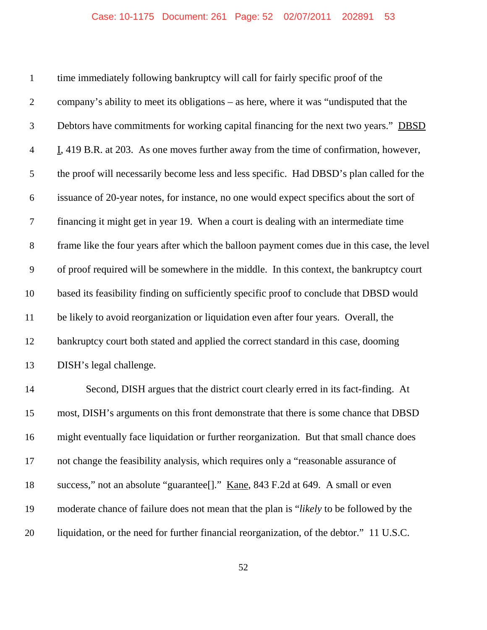time immediately following bankruptcy will call for fairly specific proof of the company's ability to meet its obligations – as here, where it was "undisputed that the 3 Debtors have commitments for working capital financing for the next two years." DBSD I, 419 B.R. at 203. As one moves further away from the time of confirmation, however, the proof will necessarily become less and less specific. Had DBSD's plan called for the issuance of 20-year notes, for instance, no one would expect specifics about the sort of financing it might get in year 19. When a court is dealing with an intermediate time frame like the four years after which the balloon payment comes due in this case, the level of proof required will be somewhere in the middle. In this context, the bankruptcy court based its feasibility finding on sufficiently specific proof to conclude that DBSD would be likely to avoid reorganization or liquidation even after four years. Overall, the bankruptcy court both stated and applied the correct standard in this case, dooming DISH's legal challenge. Second, DISH argues that the district court clearly erred in its fact-finding. At most, DISH's arguments on this front demonstrate that there is some chance that DBSD might eventually face liquidation or further reorganization. But that small chance does not change the feasibility analysis, which requires only a "reasonable assurance of

moderate chance of failure does not mean that the plan is "*likely* to be followed by the

18 success," not an absolute "guarantee<sup>[]</sup>." <u>Kane</u>, 843 F.2d at 649. A small or even

liquidation, or the need for further financial reorganization, of the debtor." 11 U.S.C.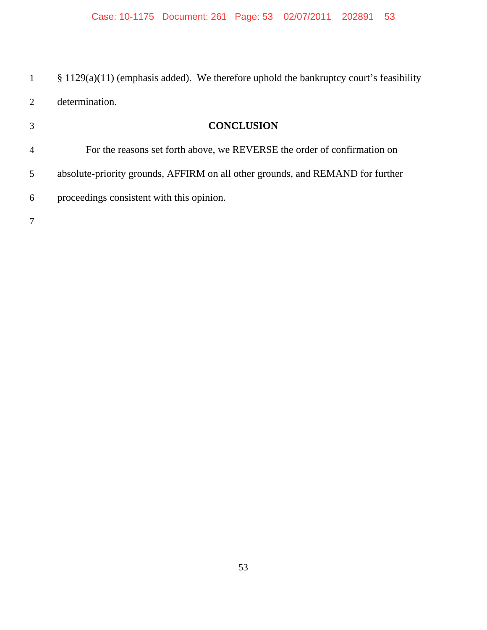§ 1129(a)(11) (emphasis added). We therefore uphold the bankruptcy court's feasibility determination.

| 3              | <b>CONCLUSION</b>                                                              |
|----------------|--------------------------------------------------------------------------------|
| $\overline{4}$ | For the reasons set forth above, we REVERSE the order of confirmation on       |
| 5              | absolute-priority grounds, AFFIRM on all other grounds, and REMAND for further |
| 6              | proceedings consistent with this opinion.                                      |
|                |                                                                                |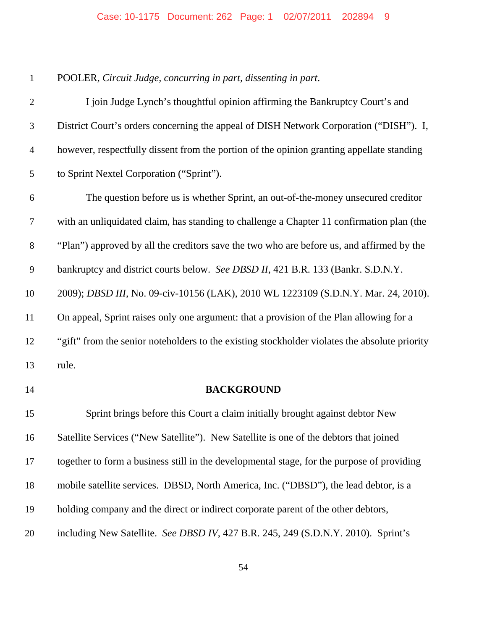| $\mathbf{1}$   | POOLER, Circuit Judge, concurring in part, dissenting in part.                                |
|----------------|-----------------------------------------------------------------------------------------------|
| $\overline{2}$ | I join Judge Lynch's thoughtful opinion affirming the Bankruptcy Court's and                  |
| 3              | District Court's orders concerning the appeal of DISH Network Corporation ("DISH"). I,        |
| $\overline{4}$ | however, respectfully dissent from the portion of the opinion granting appellate standing     |
| 5              | to Sprint Nextel Corporation ("Sprint").                                                      |
| 6              | The question before us is whether Sprint, an out-of-the-money unsecured creditor              |
| $\tau$         | with an unliquidated claim, has standing to challenge a Chapter 11 confirmation plan (the     |
| $8\,$          | "Plan") approved by all the creditors save the two who are before us, and affirmed by the     |
| 9              | bankruptcy and district courts below. See DBSD II, 421 B.R. 133 (Bankr. S.D.N.Y.              |
| 10             | 2009); DBSD III, No. 09-civ-10156 (LAK), 2010 WL 1223109 (S.D.N.Y. Mar. 24, 2010).            |
| 11             | On appeal, Sprint raises only one argument: that a provision of the Plan allowing for a       |
| 12             | "gift" from the senior noteholders to the existing stockholder violates the absolute priority |
| 13             | rule.                                                                                         |
| 14             | <b>BACKGROUND</b>                                                                             |
| 15             | Sprint brings before this Court a claim initially brought against debtor New                  |
| 16             | Satellite Services ("New Satellite"). New Satellite is one of the debtors that joined         |
| 17             | together to form a business still in the developmental stage, for the purpose of providing    |
| 18             | mobile satellite services. DBSD, North America, Inc. ("DBSD"), the lead debtor, is a          |
| 19             | holding company and the direct or indirect corporate parent of the other debtors,             |
| 20             | including New Satellite. See DBSD IV, 427 B.R. 245, 249 (S.D.N.Y. 2010). Sprint's             |
|                |                                                                                               |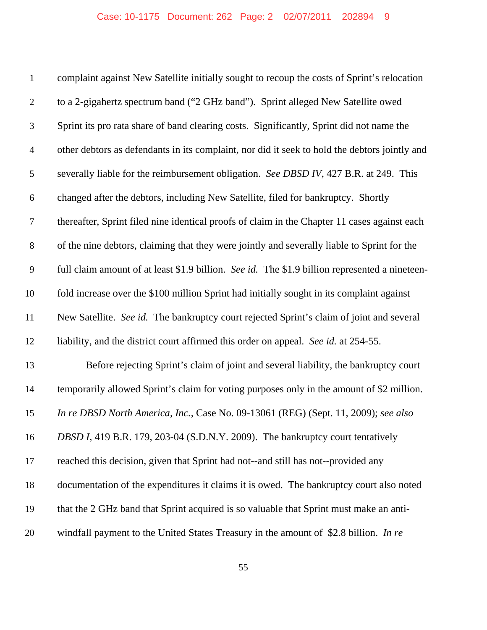| $\mathbf{1}$   | complaint against New Satellite initially sought to recoup the costs of Sprint's relocation    |
|----------------|------------------------------------------------------------------------------------------------|
| $\overline{2}$ | to a 2-gigahertz spectrum band ("2 GHz band"). Sprint alleged New Satellite owed               |
| 3              | Sprint its pro rata share of band clearing costs. Significantly, Sprint did not name the       |
| $\overline{4}$ | other debtors as defendants in its complaint, nor did it seek to hold the debtors jointly and  |
| 5              | severally liable for the reimbursement obligation. See DBSD IV, 427 B.R. at 249. This          |
| 6              | changed after the debtors, including New Satellite, filed for bankruptcy. Shortly              |
| $\tau$         | thereafter, Sprint filed nine identical proofs of claim in the Chapter 11 cases against each   |
| $8\,$          | of the nine debtors, claiming that they were jointly and severally liable to Sprint for the    |
| 9              | full claim amount of at least \$1.9 billion. See id. The \$1.9 billion represented a nineteen- |
| 10             | fold increase over the \$100 million Sprint had initially sought in its complaint against      |
| 11             | New Satellite. See id. The bankruptcy court rejected Sprint's claim of joint and several       |
| 12             | liability, and the district court affirmed this order on appeal. See id. at 254-55.            |
| 13             | Before rejecting Sprint's claim of joint and several liability, the bankruptcy court           |
| 14             | temporarily allowed Sprint's claim for voting purposes only in the amount of \$2 million.      |
| 15             | In re DBSD North America, Inc., Case No. 09-13061 (REG) (Sept. 11, 2009); see also             |
| 16             | DBSD I, 419 B.R. 179, 203-04 (S.D.N.Y. 2009). The bankruptcy court tentatively                 |
| 17             | reached this decision, given that Sprint had not--and still has not--provided any              |
| 18             | documentation of the expenditures it claims it is owed. The bankruptcy court also noted        |
| 19             | that the 2 GHz band that Sprint acquired is so valuable that Sprint must make an anti-         |
| 20             | windfall payment to the United States Treasury in the amount of \$2.8 billion. In re           |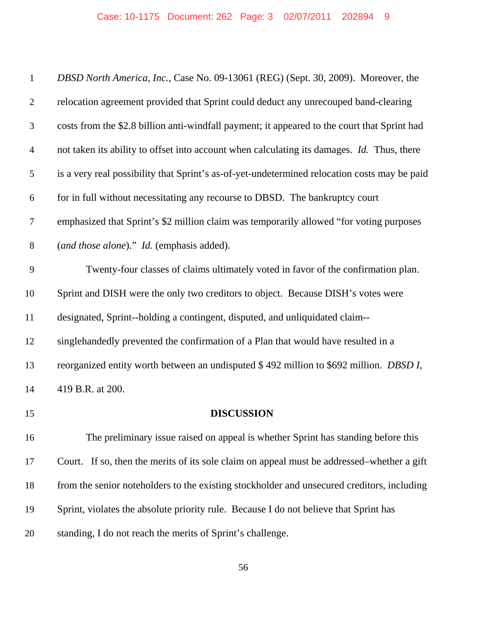| $\mathbf{1}$   | DBSD North America, Inc., Case No. 09-13061 (REG) (Sept. 30, 2009). Moreover, the            |
|----------------|----------------------------------------------------------------------------------------------|
| $\overline{2}$ | relocation agreement provided that Sprint could deduct any unrecouped band-clearing          |
| 3              | costs from the \$2.8 billion anti-windfall payment; it appeared to the court that Sprint had |
| $\overline{4}$ | not taken its ability to offset into account when calculating its damages. Id. Thus, there   |
| 5              | is a very real possibility that Sprint's as-of-yet-undetermined relocation costs may be paid |
| 6              | for in full without necessitating any recourse to DBSD. The bankruptcy court                 |
| $\tau$         | emphasized that Sprint's \$2 million claim was temporarily allowed "for voting purposes"     |
| $8\,$          | (and those alone)." Id. (emphasis added).                                                    |
| 9              | Twenty-four classes of claims ultimately voted in favor of the confirmation plan.            |
| 10             | Sprint and DISH were the only two creditors to object. Because DISH's votes were             |
| 11             | designated, Sprint--holding a contingent, disputed, and unliquidated claim--                 |
| 12             | singlehandedly prevented the confirmation of a Plan that would have resulted in a            |
| 13             | reorganized entity worth between an undisputed \$492 million to \$692 million. DBSD I,       |
| 14             | 419 B.R. at 200.                                                                             |
| 15             | <b>DISCUSSION</b>                                                                            |
| 16             | The preliminary issue raised on appeal is whether Sprint has standing before this            |
| 17             | Court. If so, then the merits of its sole claim on appeal must be addressed–whether a gift   |
| 18             | from the senior noteholders to the existing stockholder and unsecured creditors, including   |
| 19             | Sprint, violates the absolute priority rule. Because I do not believe that Sprint has        |
| 20             | standing, I do not reach the merits of Sprint's challenge.                                   |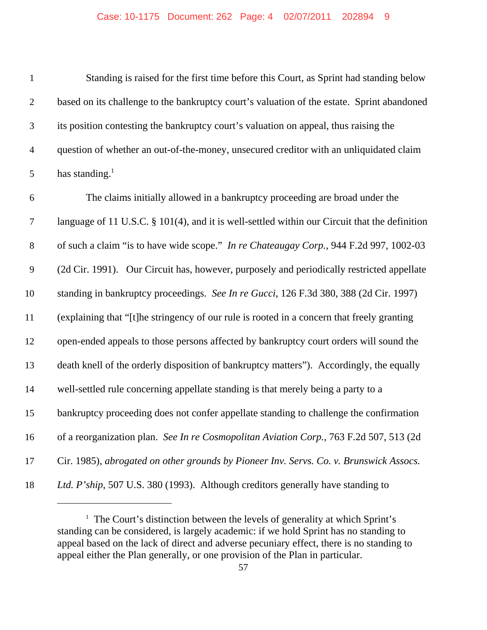| $\mathbf{1}$     | Standing is raised for the first time before this Court, as Sprint had standing below         |
|------------------|-----------------------------------------------------------------------------------------------|
| $\overline{2}$   | based on its challenge to the bankruptcy court's valuation of the estate. Sprint abandoned    |
| 3                | its position contesting the bankruptcy court's valuation on appeal, thus raising the          |
| $\overline{4}$   | question of whether an out-of-the-money, unsecured creditor with an unliquidated claim        |
| 5                | has standing. $1$                                                                             |
| 6                | The claims initially allowed in a bankruptcy proceeding are broad under the                   |
| $\overline{7}$   | language of 11 U.S.C. § 101(4), and it is well-settled within our Circuit that the definition |
| $8\,$            | of such a claim "is to have wide scope." In re Chateaugay Corp., 944 F.2d 997, 1002-03        |
| $\boldsymbol{9}$ | (2d Cir. 1991). Our Circuit has, however, purposely and periodically restricted appellate     |
| 10               | standing in bankruptcy proceedings. See In re Gucci, 126 F.3d 380, 388 (2d Cir. 1997)         |
| 11               | (explaining that "[t] he stringency of our rule is rooted in a concern that freely granting   |
| 12               | open-ended appeals to those persons affected by bankruptcy court orders will sound the        |
| 13               | death knell of the orderly disposition of bankruptcy matters"). Accordingly, the equally      |
| 14               | well-settled rule concerning appellate standing is that merely being a party to a             |
| 15               | bankruptcy proceeding does not confer appellate standing to challenge the confirmation        |
| 16               | of a reorganization plan. See In re Cosmopolitan Aviation Corp., 763 F.2d 507, 513 (2d        |
| 17               | Cir. 1985), abrogated on other grounds by Pioneer Inv. Servs. Co. v. Brunswick Assocs.        |
| 18               | Ltd. P'ship, 507 U.S. 380 (1993). Although creditors generally have standing to               |

<sup>&</sup>lt;sup>1</sup> The Court's distinction between the levels of generality at which Sprint's standing can be considered, is largely academic: if we hold Sprint has no standing to appeal based on the lack of direct and adverse pecuniary effect, there is no standing to appeal either the Plan generally, or one provision of the Plan in particular.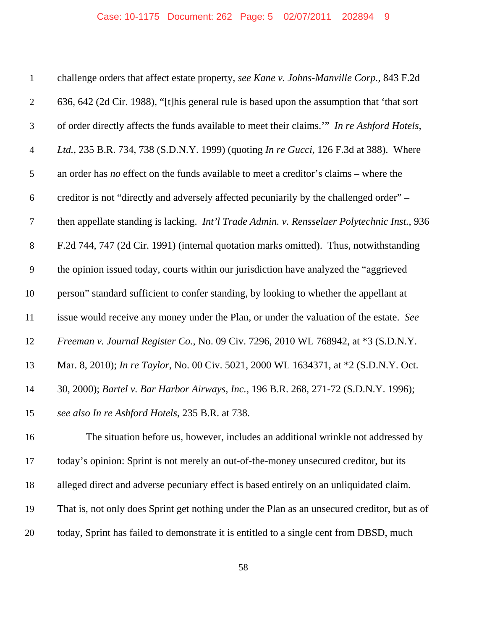| $\mathbf{1}$   | challenge orders that affect estate property, see Kane v. Johns-Manville Corp., 843 F.2d      |
|----------------|-----------------------------------------------------------------------------------------------|
| $\overline{2}$ | 636, 642 (2d Cir. 1988), "[t] his general rule is based upon the assumption that 'that sort   |
| 3              | of order directly affects the funds available to meet their claims." In re Ashford Hotels,    |
| $\overline{4}$ | Ltd., 235 B.R. 734, 738 (S.D.N.Y. 1999) (quoting <i>In re Gucci</i> , 126 F.3d at 388). Where |
| 5              | an order has no effect on the funds available to meet a creditor's claims – where the         |
| 6              | creditor is not "directly and adversely affected pecuniarily by the challenged order" –       |
| $\tau$         | then appellate standing is lacking. Int'l Trade Admin. v. Rensselaer Polytechnic Inst., 936   |
| $8\,$          | F.2d 744, 747 (2d Cir. 1991) (internal quotation marks omitted). Thus, notwithstanding        |
| 9              | the opinion issued today, courts within our jurisdiction have analyzed the "aggrieved         |
| 10             | person" standard sufficient to confer standing, by looking to whether the appellant at        |
| 11             | issue would receive any money under the Plan, or under the valuation of the estate. See       |
| 12             | Freeman v. Journal Register Co., No. 09 Civ. 7296, 2010 WL 768942, at *3 (S.D.N.Y.            |
| 13             | Mar. 8, 2010); In re Taylor, No. 00 Civ. 5021, 2000 WL 1634371, at *2 (S.D.N.Y. Oct.          |
| 14             | 30, 2000); Bartel v. Bar Harbor Airways, Inc., 196 B.R. 268, 271-72 (S.D.N.Y. 1996);          |
| 15             | see also In re Ashford Hotels, 235 B.R. at 738.                                               |
| 16             | The situation before us, however, includes an additional wrinkle not addressed by             |
| 17             | today's opinion: Sprint is not merely an out-of-the-money unsecured creditor, but its         |
| 18             | alleged direct and adverse pecuniary effect is based entirely on an unliquidated claim.       |
| 19             | That is, not only does Sprint get nothing under the Plan as an unsecured creditor, but as of  |
| 20             | today, Sprint has failed to demonstrate it is entitled to a single cent from DBSD, much       |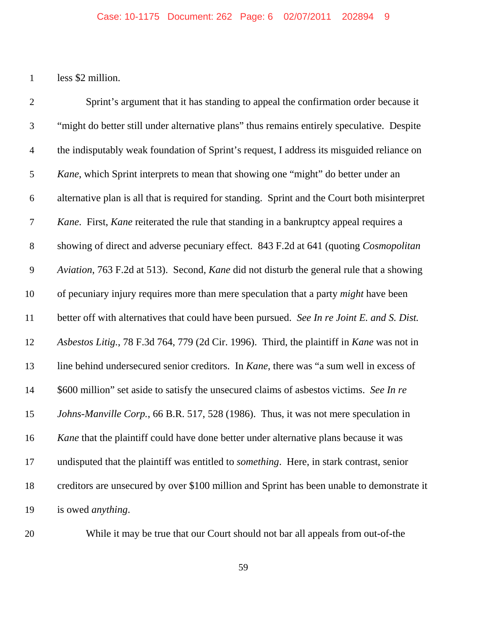less \$2 million.

 Sprint's argument that it has standing to appeal the confirmation order because it "might do better still under alternative plans" thus remains entirely speculative. Despite the indisputably weak foundation of Sprint's request, I address its misguided reliance on *Kane*, which Sprint interprets to mean that showing one "might" do better under an alternative plan is all that is required for standing. Sprint and the Court both misinterpret *Kane*. First, *Kane* reiterated the rule that standing in a bankruptcy appeal requires a showing of direct and adverse pecuniary effect. 843 F.2d at 641 (quoting *Cosmopolitan Aviation*, 763 F.2d at 513). Second, *Kane* did not disturb the general rule that a showing of pecuniary injury requires more than mere speculation that a party *might* have been better off with alternatives that could have been pursued. *See In re Joint E. and S. Dist. Asbestos Litig.*, 78 F.3d 764, 779 (2d Cir. 1996). Third, the plaintiff in *Kane* was not in line behind undersecured senior creditors. In *Kane*, there was "a sum well in excess of \$600 million" set aside to satisfy the unsecured claims of asbestos victims. *See In re Johns-Manville Corp.*, 66 B.R. 517, 528 (1986). Thus, it was not mere speculation in *Kane* that the plaintiff could have done better under alternative plans because it was undisputed that the plaintiff was entitled to *something*. Here, in stark contrast, senior creditors are unsecured by over \$100 million and Sprint has been unable to demonstrate it is owed *anything*.

While it may be true that our Court should not bar all appeals from out-of-the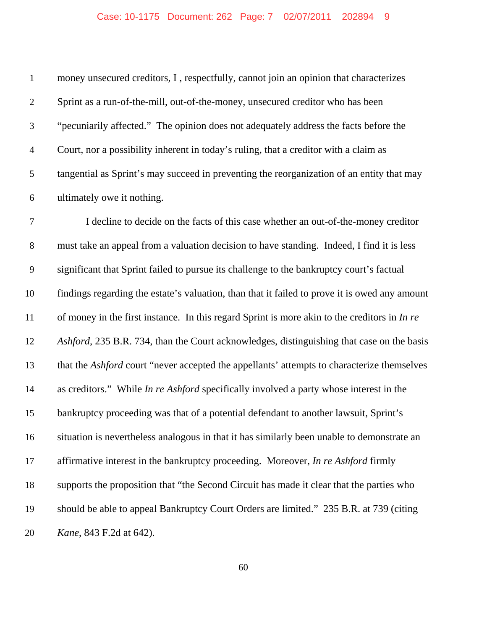| $\mathbf{1}$     | money unsecured creditors, I, respectfully, cannot join an opinion that characterizes         |
|------------------|-----------------------------------------------------------------------------------------------|
| $\overline{2}$   | Sprint as a run-of-the-mill, out-of-the-money, unsecured creditor who has been                |
| $\mathfrak{Z}$   | "pecuniarily affected." The opinion does not adequately address the facts before the          |
| $\overline{4}$   | Court, nor a possibility inherent in today's ruling, that a creditor with a claim as          |
| $\mathfrak s$    | tangential as Sprint's may succeed in preventing the reorganization of an entity that may     |
| $\boldsymbol{6}$ | ultimately owe it nothing.                                                                    |
| $\boldsymbol{7}$ | I decline to decide on the facts of this case whether an out-of-the-money creditor            |
| $8\,$            | must take an appeal from a valuation decision to have standing. Indeed, I find it is less     |
| $\overline{9}$   | significant that Sprint failed to pursue its challenge to the bankruptcy court's factual      |
| 10               | findings regarding the estate's valuation, than that it failed to prove it is owed any amount |
| 11               | of money in the first instance. In this regard Sprint is more akin to the creditors in In re  |
| 12               | Ashford, 235 B.R. 734, than the Court acknowledges, distinguishing that case on the basis     |
| 13               | that the Ashford court "never accepted the appellants' attempts to characterize themselves    |
| 14               | as creditors." While <i>In re Ashford</i> specifically involved a party whose interest in the |
| 15               | bankruptcy proceeding was that of a potential defendant to another lawsuit, Sprint's          |
| 16               | situation is nevertheless analogous in that it has similarly been unable to demonstrate an    |
| 17               | affirmative interest in the bankruptcy proceeding. Moreover, In re Ashford firmly             |
| 18               | supports the proposition that "the Second Circuit has made it clear that the parties who      |
| 19               | should be able to appeal Bankruptcy Court Orders are limited." 235 B.R. at 739 (citing        |
| 20               | <i>Kane</i> , 843 F.2d at 642).                                                               |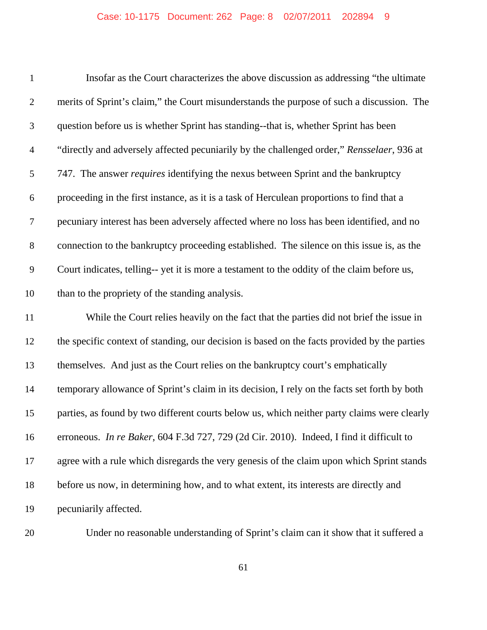| $\mathbf{1}$   | Insofar as the Court characterizes the above discussion as addressing "the ultimate              |
|----------------|--------------------------------------------------------------------------------------------------|
| $\overline{2}$ | merits of Sprint's claim," the Court misunderstands the purpose of such a discussion. The        |
| 3              | question before us is whether Sprint has standing--that is, whether Sprint has been              |
| $\overline{4}$ | "directly and adversely affected pecuniarily by the challenged order," Rensselaer, 936 at        |
| 5              | 747. The answer <i>requires</i> identifying the nexus between Sprint and the bankruptcy          |
| 6              | proceeding in the first instance, as it is a task of Herculean proportions to find that a        |
| $\tau$         | pecuniary interest has been adversely affected where no loss has been identified, and no         |
| $8\,$          | connection to the bankruptcy proceeding established. The silence on this issue is, as the        |
| 9              | Court indicates, telling-- yet it is more a testament to the oddity of the claim before us,      |
| 10             | than to the propriety of the standing analysis.                                                  |
| 11             | While the Court relies heavily on the fact that the parties did not brief the issue in           |
| 12             | the specific context of standing, our decision is based on the facts provided by the parties     |
| 13             | themselves. And just as the Court relies on the bankruptcy court's emphatically                  |
| 14             | temporary allowance of Sprint's claim in its decision, I rely on the facts set forth by both     |
| 15             | parties, as found by two different courts below us, which neither party claims were clearly      |
| 16             | erroneous. <i>In re Baker</i> , 604 F.3d 727, 729 (2d Cir. 2010). Indeed, I find it difficult to |
| 17             | agree with a rule which disregards the very genesis of the claim upon which Sprint stands        |
| 18             | before us now, in determining how, and to what extent, its interests are directly and            |
| 19             | pecuniarily affected.                                                                            |

Under no reasonable understanding of Sprint's claim can it show that it suffered a